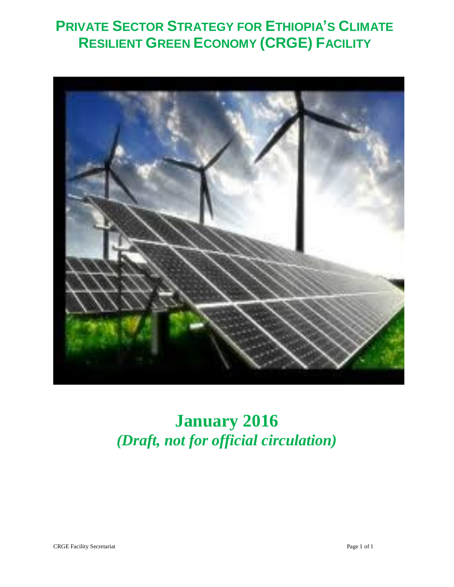# **PRIVATE SECTOR STRATEGY FOR ETHIOPIA'S CLIMATE RESILIENT GREEN ECONOMY (CRGE) FACILITY**



# **January 2016** *(Draft, not for official circulation)*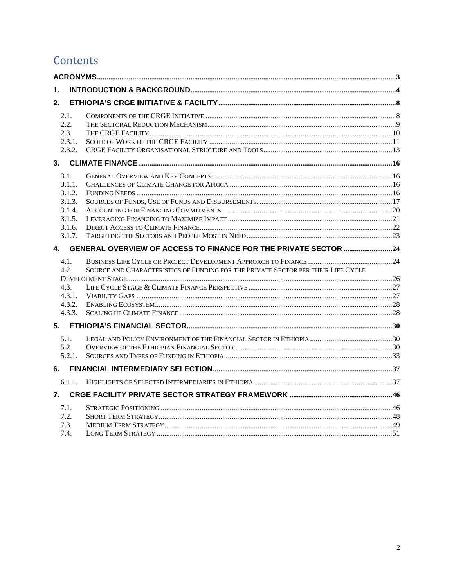# Contents

| 1.               |                                                                                   |  |
|------------------|-----------------------------------------------------------------------------------|--|
| 2.               |                                                                                   |  |
| 2.1.             |                                                                                   |  |
| 2.2.             |                                                                                   |  |
| 2.3.             |                                                                                   |  |
| 2.3.1.           |                                                                                   |  |
| 2.3.2.           |                                                                                   |  |
|                  |                                                                                   |  |
| 3.1.             |                                                                                   |  |
| 3.1.1.           |                                                                                   |  |
| 3.1.2.           |                                                                                   |  |
| 3.1.3.           |                                                                                   |  |
| 3.1.4.           |                                                                                   |  |
| 3.1.5.           |                                                                                   |  |
| 3.1.6.<br>3.1.7. |                                                                                   |  |
|                  | 4. GENERAL OVERVIEW OF ACCESS TO FINANCE FOR THE PRIVATE SECTOR 24                |  |
|                  |                                                                                   |  |
| 4.1.<br>4.2.     | SOURCE AND CHARACTERISTICS OF FUNDING FOR THE PRIVATE SECTOR PER THEIR LIFE CYCLE |  |
|                  |                                                                                   |  |
| 4.3.             |                                                                                   |  |
| 4.3.1.           |                                                                                   |  |
| 4.3.2.           |                                                                                   |  |
| 4.3.3.           |                                                                                   |  |
|                  |                                                                                   |  |
| 5.1.             |                                                                                   |  |
| 5.2.             |                                                                                   |  |
| 5.2.1.           |                                                                                   |  |
|                  |                                                                                   |  |
| 6.1.1.           |                                                                                   |  |
| 7.               |                                                                                   |  |
|                  |                                                                                   |  |
| 7.1.<br>7.2.     |                                                                                   |  |
| 7.3.             |                                                                                   |  |
| 7.4.             |                                                                                   |  |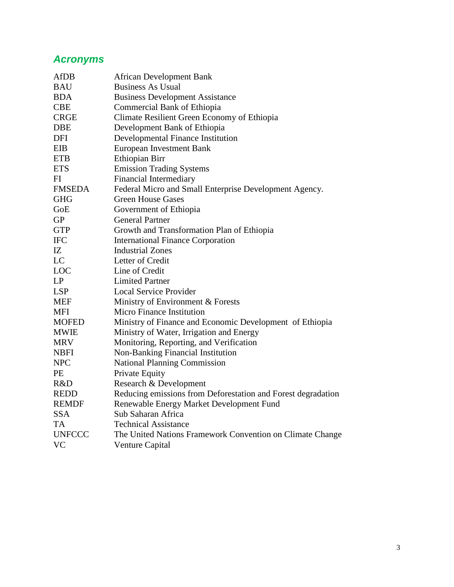# *Acronyms*

| <b>African Development Bank</b>                              |
|--------------------------------------------------------------|
| <b>Business As Usual</b>                                     |
| <b>Business Development Assistance</b>                       |
| Commercial Bank of Ethiopia                                  |
| Climate Resilient Green Economy of Ethiopia                  |
| Development Bank of Ethiopia                                 |
| Developmental Finance Institution                            |
| European Investment Bank                                     |
| Ethiopian Birr                                               |
| <b>Emission Trading Systems</b>                              |
| <b>Financial Intermediary</b>                                |
| Federal Micro and Small Enterprise Development Agency.       |
| <b>Green House Gases</b>                                     |
| Government of Ethiopia                                       |
| <b>General Partner</b>                                       |
| Growth and Transformation Plan of Ethiopia                   |
| <b>International Finance Corporation</b>                     |
| <b>Industrial Zones</b>                                      |
| Letter of Credit                                             |
| Line of Credit                                               |
| <b>Limited Partner</b>                                       |
| <b>Local Service Provider</b>                                |
| Ministry of Environment & Forests                            |
| Micro Finance Institution                                    |
| Ministry of Finance and Economic Development of Ethiopia     |
| Ministry of Water, Irrigation and Energy                     |
| Monitoring, Reporting, and Verification                      |
| Non-Banking Financial Institution                            |
| <b>National Planning Commission</b>                          |
| Private Equity                                               |
| Research & Development                                       |
| Reducing emissions from Deforestation and Forest degradation |
| Renewable Energy Market Development Fund                     |
| Sub Saharan Africa                                           |
| <b>Technical Assistance</b>                                  |
| The United Nations Framework Convention on Climate Change    |
| <b>Venture Capital</b>                                       |
|                                                              |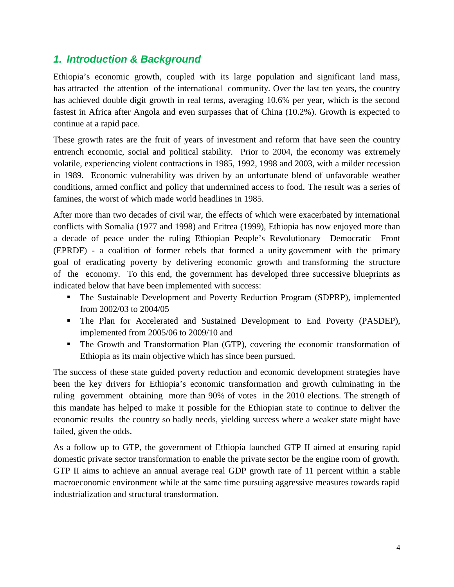# *1. Introduction & Background*

Ethiopia's economic growth, coupled with its large population and significant land mass, has attracted the attention of the international community. Over the last ten years, the country has achieved double digit growth in real terms, averaging 10.6% per year, which is the second fastest in Africa after Angola and even surpasses that of China (10.2%). Growth is expected to continue at a rapid pace.

These growth rates are the fruit of years of investment and reform that have seen the country entrench economic, social and political stability. Prior to 2004, the economy was extremely volatile, experiencing violent contractions in 1985, 1992, 1998 and 2003, with a milder recession in 1989. Economic vulnerability was driven by an unfortunate blend of unfavorable weather conditions, armed conflict and policy that undermined access to food. The result was a series of famines, the worst of which made world headlines in 1985.

After more than two decades of civil war, the effects of which were exacerbated by international conflicts with Somalia (1977 and 1998) and Eritrea (1999), Ethiopia has now enjoyed more than a decade of peace under the ruling Ethiopian People's Revolutionary Democratic Front (EPRDF) - a coalition of former rebels that formed a unity government with the primary goal of eradicating poverty by delivering economic growth and transforming the structure of the economy. To this end, the government has developed three successive blueprints as indicated below that have been implemented with success:

- The Sustainable Development and Poverty Reduction Program (SDPRP), implemented from 2002/03 to 2004/05
- The Plan for Accelerated and Sustained Development to End Poverty (PASDEP), implemented from 2005/06 to 2009/10 and
- The Growth and Transformation Plan (GTP), covering the economic transformation of Ethiopia as its main objective which has since been pursued.

The success of these state guided poverty reduction and economic development strategies have been the key drivers for Ethiopia's economic transformation and growth culminating in the ruling government obtaining more than 90% of votes in the 2010 elections. The strength of this mandate has helped to make it possible for the Ethiopian state to continue to deliver the economic results the country so badly needs, yielding success where a weaker state might have failed, given the odds.

As a follow up to GTP, the government of Ethiopia launched GTP II aimed at ensuring rapid domestic private sector transformation to enable the private sector be the engine room of growth. GTP II aims to achieve an annual average real GDP growth rate of 11 percent within a stable macroeconomic environment while at the same time pursuing aggressive measures towards rapid industrialization and structural transformation.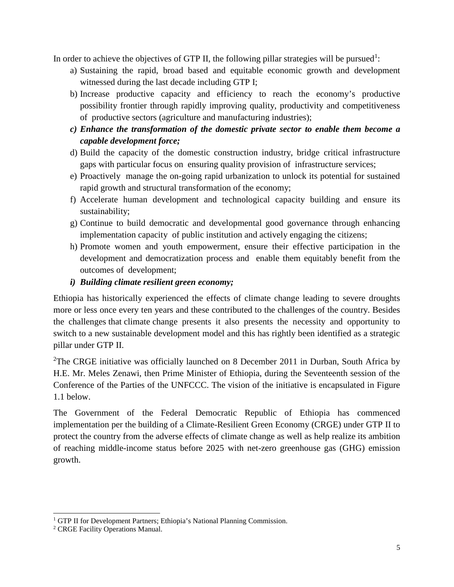In order to achieve the objectives of GTP II, the following pillar strategies will be pursued<sup>1</sup>:

- a) Sustaining the rapid, broad based and equitable economic growth and development witnessed during the last decade including GTP I;
- b) Increase productive capacity and efficiency to reach the economy's productive possibility frontier through rapidly improving quality, productivity and competitiveness of productive sectors (agriculture and manufacturing industries);
- *c) Enhance the transformation of the domestic private sector to enable them become a capable development force;*
- d) Build the capacity of the domestic construction industry, bridge critical infrastructure gaps with particular focus on ensuring quality provision of infrastructure services;
- e) Proactively manage the on-going rapid urbanization to unlock its potential for sustained rapid growth and structural transformation of the economy;
- f) Accelerate human development and technological capacity building and ensure its sustainability;
- g) Continue to build democratic and developmental good governance through enhancing implementation capacity of public institution and actively engaging the citizens;
- h) Promote women and youth empowerment, ensure their effective participation in the development and democratization process and enable them equitably benefit from the outcomes of development;

# *i) Building climate resilient green economy;*

Ethiopia has historically experienced the effects of climate change leading to severe droughts more or less once every ten years and these contributed to the challenges of the country. Besides the challenges that climate change presents it also presents the necessity and opportunity to switch to a new sustainable development model and this has rightly been identified as a strategic pillar under GTP II.

<sup>2</sup>The CRGE initiative was officially launched on 8 December 2011 in Durban, South Africa by H.E. Mr. Meles Zenawi, then Prime Minister of Ethiopia, during the Seventeenth session of the Conference of the Parties of the UNFCCC. The vision of the initiative is encapsulated in Figure 1.1 below.

The Government of the Federal Democratic Republic of Ethiopia has commenced implementation per the building of a Climate-Resilient Green Economy (CRGE) under GTP II to protect the country from the adverse effects of climate change as well as help realize its ambition of reaching middle-income status before 2025 with net-zero greenhouse gas (GHG) emission growth.

<sup>&</sup>lt;sup>1</sup> GTP II for Development Partners; Ethiopia's National Planning Commission.

<sup>2</sup> CRGE Facility Operations Manual.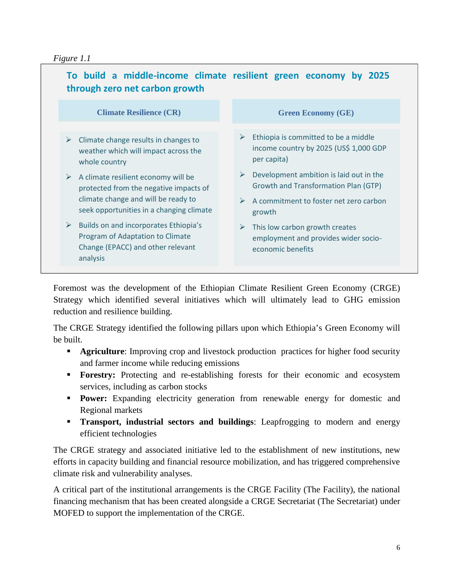# *Figure 1.1*



Foremost was the development of the Ethiopian Climate Resilient Green Economy (CRGE) Strategy which identified several initiatives which will ultimately lead to GHG emission reduction and resilience building.

The CRGE Strategy identified the following pillars upon which Ethiopia's Green Economy will be built.

- **Agriculture:** Improving crop and livestock production practices for higher food security and farmer income while reducing emissions
- **Forestry:** Protecting and re-establishing forests for their economic and ecosystem services, including as carbon stocks
- **Power:** Expanding electricity generation from renewable energy for domestic and Regional markets
- **Transport, industrial sectors and buildings**: Leapfrogging to modern and energy efficient technologies

The CRGE strategy and associated initiative led to the establishment of new institutions, new efforts in capacity building and financial resource mobilization, and has triggered comprehensive climate risk and vulnerability analyses.

A critical part of the institutional arrangements is the CRGE Facility (The Facility), the national financing mechanism that has been created alongside a CRGE Secretariat (The Secretariat) under MOFED to support the implementation of the CRGE.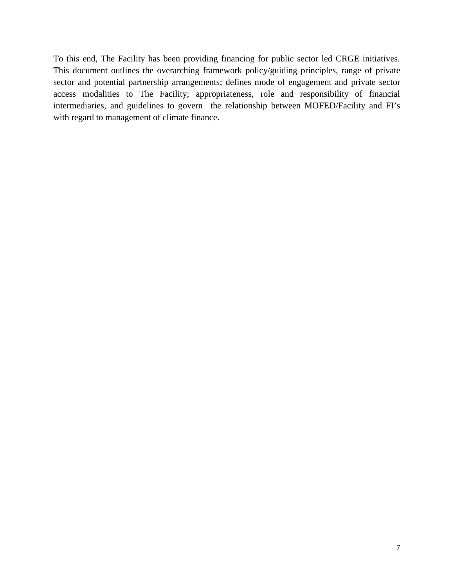To this end, The Facility has been providing financing for public sector led CRGE initiatives. This document outlines the overarching framework policy/guiding principles, range of private sector and potential partnership arrangements; defines mode of engagement and private sector access modalities to The Facility; appropriateness, role and responsibility of financial intermediaries, and guidelines to govern the relationship between MOFED/Facility and FI's with regard to management of climate finance.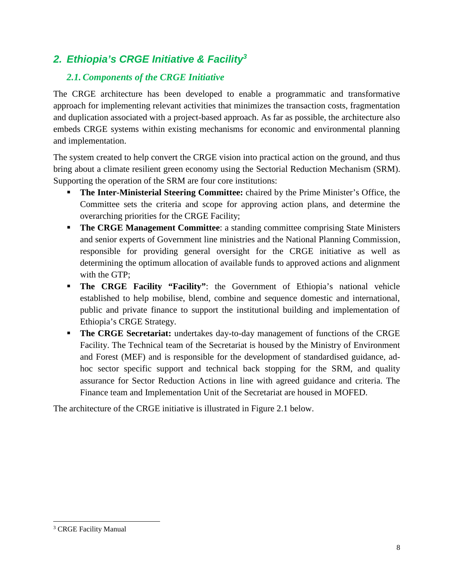# *2. Ethiopia's CRGE Initiative & Facility<sup>3</sup>*

# *2.1. Components of the CRGE Initiative*

The CRGE architecture has been developed to enable a programmatic and transformative approach for implementing relevant activities that minimizes the transaction costs, fragmentation and duplication associated with a project-based approach. As far as possible, the architecture also embeds CRGE systems within existing mechanisms for economic and environmental planning and implementation.

The system created to help convert the CRGE vision into practical action on the ground, and thus bring about a climate resilient green economy using the Sectorial Reduction Mechanism (SRM). Supporting the operation of the SRM are four core institutions:

- **The Inter-Ministerial Steering Committee:** chaired by the Prime Minister's Office, the Committee sets the criteria and scope for approving action plans, and determine the overarching priorities for the CRGE Facility;
- **The CRGE Management Committee:** a standing committee comprising State Ministers and senior experts of Government line ministries and the National Planning Commission, responsible for providing general oversight for the CRGE initiative as well as determining the optimum allocation of available funds to approved actions and alignment with the GTP;
- **The CRGE Facility "Facility":** the Government of Ethiopia's national vehicle established to help mobilise, blend, combine and sequence domestic and international, public and private finance to support the institutional building and implementation of Ethiopia's CRGE Strategy.
- **The CRGE Secretariat:** undertakes day-to-day management of functions of the CRGE Facility. The Technical team of the Secretariat is housed by the Ministry of Environment and Forest (MEF) and is responsible for the development of standardised guidance, ad hoc sector specific support and technical back stopping for the SRM, and quality assurance for Sector Reduction Actions in line with agreed guidance and criteria. The Finance team and Implementation Unit of the Secretariat are housed in MOFED.

The architecture of the CRGE initiative is illustrated in Figure 2.1 below.

<sup>&</sup>lt;sup>3</sup> CRGE Facility Manual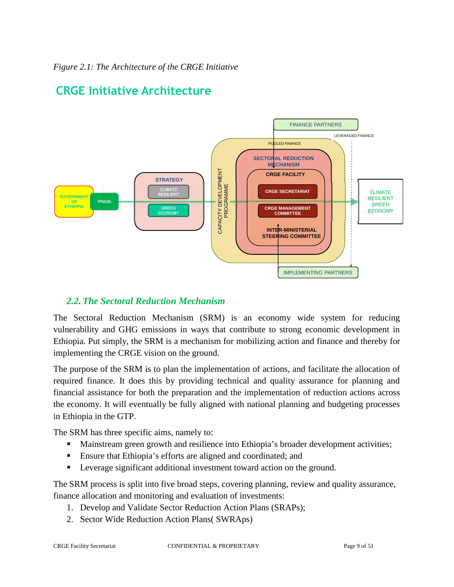

# **CRGE Initiative Architecture**

# *2.2. The Sectoral Reduction Mechanism*

The Sectoral Reduction Mechanism (SRM) is an economy wide system for reducing vulnerability and GHG emissions in ways that contribute to strong economic development in Ethiopia. Put simply, the SRM is a mechanism for mobilizing action and finance and thereby for implementing the CRGE vision on the ground.

The purpose of the SRM is to plan the implementation of actions, and facilitate the allocation of required finance. It does this by providing technical and quality assurance for planning and financial assistance for both the preparation and the implementation of reduction actions across the economy. It will eventually be fully aligned with national planning and budgeting processes in Ethiopia in the GTP.

The SRM has three specific aims, namely to:

- **Mainstream green growth and resilience into Ethiopia's broader development activities;**
- Ensure that Ethiopia's efforts are aligned and coordinated; and
- **Leverage significant additional investment toward action on the ground.**

The SRM process is split into five broad steps, covering planning, review and quality assurance, finance allocation and monitoring and evaluation of investments:

- 1. Develop and Validate Sector Reduction Action Plans (SRAPs);
- 2. Sector Wide Reduction Action Plans( SWRAps)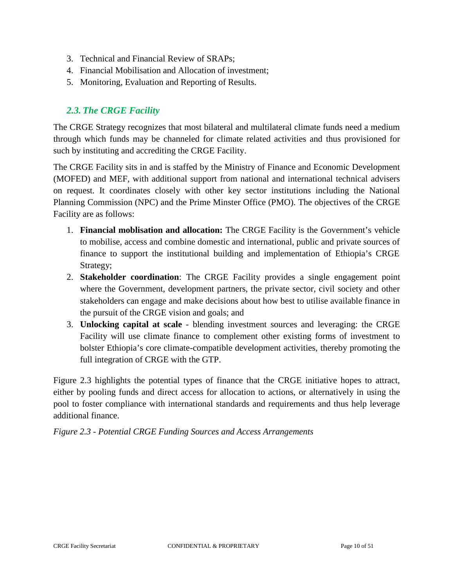- 3. Technical and Financial Review of SRAPs;
- 4. Financial Mobilisation and Allocation of investment;
- 5. Monitoring, Evaluation and Reporting of Results.

# *2.3. The CRGE Facility*

The CRGE Strategy recognizes that most bilateral and multilateral climate funds need a medium through which funds may be channeled for climate related activities and thus provisioned for such by instituting and accrediting the CRGE Facility.

The CRGE Facility sits in and is staffed by the Ministry of Finance and Economic Development (MOFED) and MEF, with additional support from national and international technical advisers on request. It coordinates closely with other key sector institutions including the National Planning Commission (NPC) and the Prime Minster Office (PMO). The objectives of the CRGE Facility are as follows:

- 1. **Financial moblisation and allocation:** The CRGE Facility is the Government's vehicle to mobilise, access and combine domestic and international, public and private sources of finance to support the institutional building and implementation of Ethiopia's CRGE Strategy;
- 2. **Stakeholder coordination**: The CRGE Facility provides a single engagement point where the Government, development partners, the private sector, civil society and other stakeholders can engage and make decisions about how best to utilise available finance in the pursuit of the CRGE vision and goals; and
- 3. **Unlocking capital at scale** blending investment sources and leveraging: the CRGE Facility will use climate finance to complement other existing forms of investment to bolster Ethiopia's core climate-compatible development activities, thereby promoting the full integration of CRGE with the GTP.

Figure 2.3 highlights the potential types of finance that the CRGE initiative hopes to attract, either by pooling funds and direct access for allocation to actions, or alternatively in using the pool to foster compliance with international standards and requirements and thus help leverage additional finance.

*Figure 2.3 - Potential CRGE Funding Sources and Access Arrangements*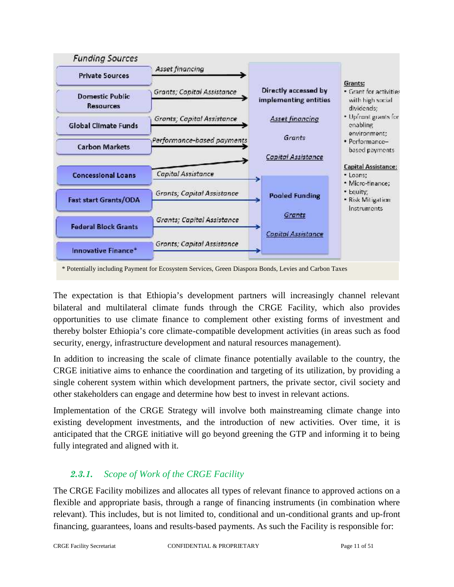

The expectation is that Ethiopia's development partners will increasingly channel relevant bilateral and multilateral climate funds through the CRGE Facility, which also provides opportunities to use climate finance to complement other existing forms of investment and thereby bolster Ethiopia's core climate-compatible development activities (in areas such as food security, energy, infrastructure development and natural resources management).

In addition to increasing the scale of climate finance potentially available to the country, the CRGE initiative aims to enhance the coordination and targeting of its utilization, by providing a single coherent system within which development partners, the private sector, civil society and other stakeholders can engage and determine how best to invest in relevant actions.

Implementation of the CRGE Strategy will involve both mainstreaming climate change into existing development investments, and the introduction of new activities. Over time, it is anticipated that the CRGE initiative will go beyond greening the GTP and informing it to being fully integrated and aligned with it.

# *2.3.1. Scope of Work of the CRGE Facility*

The CRGE Facility mobilizes and allocates all types of relevant finance to approved actions on a flexible and appropriate basis, through a range of financing instruments (in combination where relevant). This includes, but is not limited to, conditional and un-conditional grants and up-front financing, guarantees, loans and results-based payments. As such the Facility is responsible for: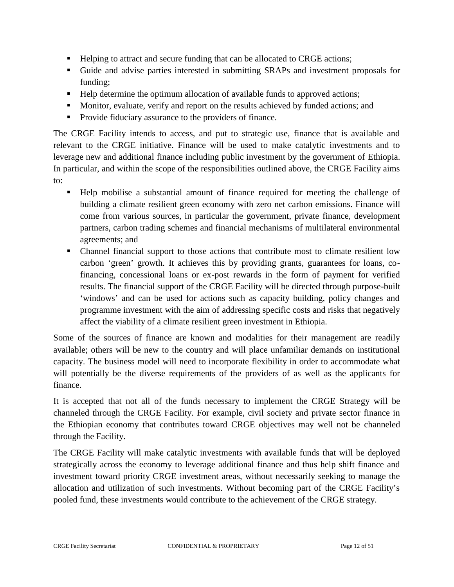- **Helping to attract and secure funding that can be allocated to CRGE actions;**
- Guide and advise parties interested in submitting SRAPs and investment proposals for funding;
- Help determine the optimum allocation of available funds to approved actions;
- Monitor, evaluate, verify and report on the results achieved by funded actions; and
- **Provide fiduciary assurance to the providers of finance.**

The CRGE Facility intends to access, and put to strategic use, finance that is available and relevant to the CRGE initiative. Finance will be used to make catalytic investments and to leverage new and additional finance including public investment by the government of Ethiopia. In particular, and within the scope of the responsibilities outlined above, the CRGE Facility aims to:

- Help mobilise a substantial amount of finance required for meeting the challenge of building a climate resilient green economy with zero net carbon emissions. Finance will come from various sources, in particular the government, private finance, development partners, carbon trading schemes and financial mechanisms of multilateral environmental agreements; and
- Channel financial support to those actions that contribute most to climate resilient low carbon 'green' growth. It achieves this by providing grants, guarantees for loans, cofinancing, concessional loans or ex-post rewards in the form of payment for verified results. The financial support of the CRGE Facility will be directed through purpose-built 'windows' and can be used for actions such as capacity building, policy changes and programme investment with the aim of addressing specific costs and risks that negatively affect the viability of a climate resilient green investment in Ethiopia.

Some of the sources of finance are known and modalities for their management are readily available; others will be new to the country and will place unfamiliar demands on institutional capacity. The business model will need to incorporate flexibility in order to accommodate what will potentially be the diverse requirements of the providers of as well as the applicants for finance.

It is accepted that not all of the funds necessary to implement the CRGE Strategy will be channeled through the CRGE Facility. For example, civil society and private sector finance in the Ethiopian economy that contributes toward CRGE objectives may well not be channeled through the Facility.

The CRGE Facility will make catalytic investments with available funds that will be deployed strategically across the economy to leverage additional finance and thus help shift finance and investment toward priority CRGE investment areas, without necessarily seeking to manage the allocation and utilization of such investments. Without becoming part of the CRGE Facility's pooled fund, these investments would contribute to the achievement of the CRGE strategy.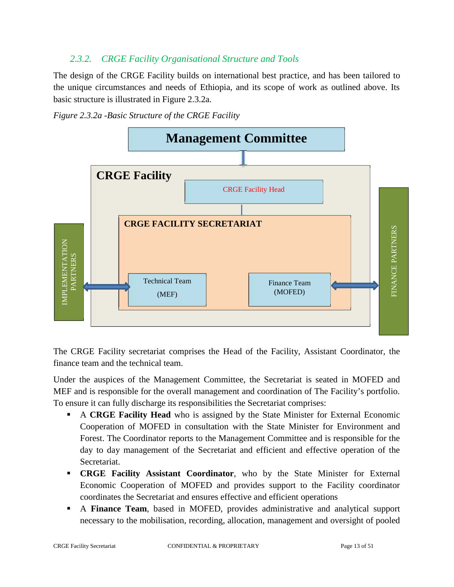# *2.3.2. CRGE Facility Organisational Structure and Tools*

The design of the CRGE Facility builds on international best practice, and has been tailored to the unique circumstances and needs of Ethiopia, and its scope of work as outlined above. Its basic structure is illustrated in Figure 2.3.2a.





The CRGE Facility secretariat comprises the Head of the Facility, Assistant Coordinator, the finance team and the technical team.

Under the auspices of the Management Committee, the Secretariat is seated in MOFED and MEF and is responsible for the overall management and coordination of The Facility's portfolio. To ensure it can fully discharge its responsibilities the Secretariat comprises:

- A **CRGE Facility Head** who is assigned by the State Minister for External Economic Cooperation of MOFED in consultation with the State Minister for Environment and Forest. The Coordinator reports to the Management Committee and is responsible for the day to day management of the Secretariat and efficient and effective operation of the Secretariat.
- **CRGE Facility Assistant Coordinator**, who by the State Minister for External Economic Cooperation of MOFED and provides support to the Facility coordinator coordinates the Secretariat and ensures effective and efficient operations
- A **Finance Team**, based in MOFED, provides administrative and analytical support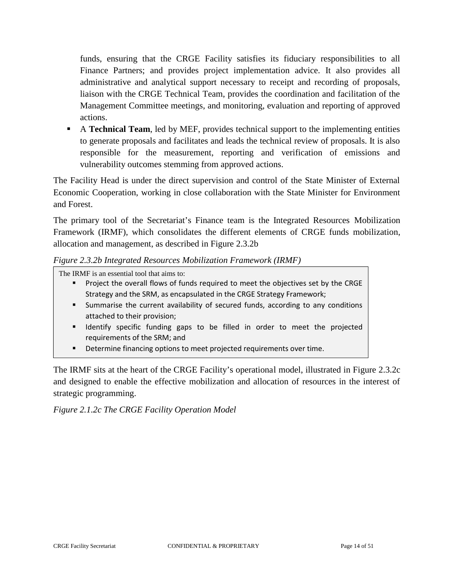funds, ensuring that the CRGE Facility satisfies its fiduciary responsibilities to all Finance Partners; and provides project implementation advice. It also provides all administrative and analytical support necessary to receipt and recording of proposals, liaison with the CRGE Technical Team, provides the coordination and facilitation of the Management Committee meetings, and monitoring, evaluation and reporting of approved actions.

 A **Technical Team**, led by MEF, provides technical support to the implementing entities to generate proposals and facilitates and leads the technical review of proposals. It is also responsible for the measurement, reporting and verification of emissions and vulnerability outcomes stemming from approved actions.

The Facility Head is under the direct supervision and control of the State Minister of External Economic Cooperation, working in close collaboration with the State Minister for Environment and Forest.

The primary tool of the Secretariat's Finance team is the Integrated Resources Mobilization Framework (IRMF), which consolidates the different elements of CRGE funds mobilization, allocation and management, as described in Figure 2.3.2b

#### *Figure 2.3.2b Integrated Resources Mobilization Framework (IRMF)*

The IRMF is an essential tool that aims to:

- Project the overall flows of funds required to meet the objectives set by the CRGE Strategy and the SRM, as encapsulated in the CRGE Strategy Framework;
- Summarise the current availability of secured funds, according to any conditions attached to their provision;
- Identify specific funding gaps to be filled in order to meet the projected requirements of the SRM; and
- **•** Determine financing options to meet projected requirements over time.

The IRMF sits at the heart of the CRGE Facility's operational model, illustrated in Figure 2.3.2c and designed to enable the effective mobilization and allocation of resources in the interest of strategic programming.

*Figure 2.1.2c The CRGE Facility Operation Model*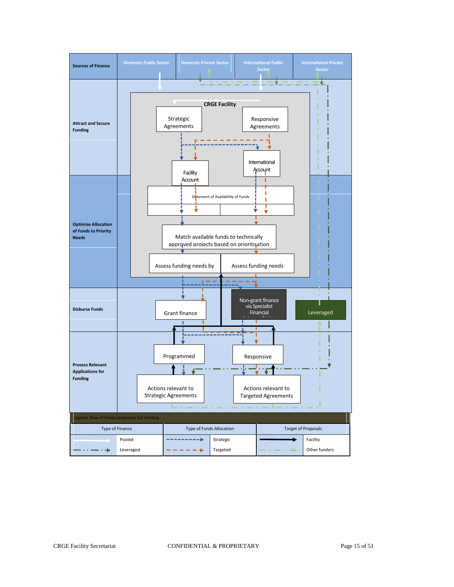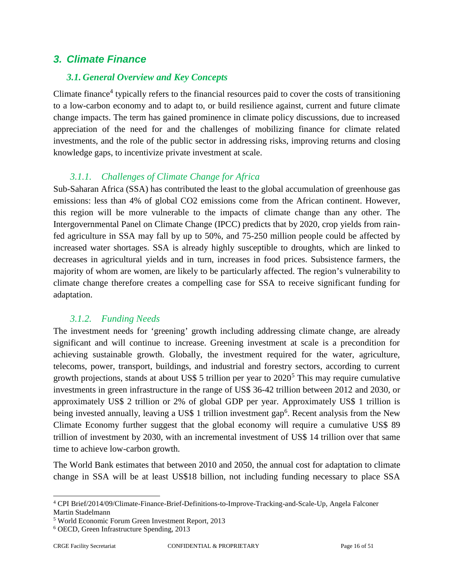# *3. Climate Finance*

#### *3.1. General Overview and Key Concepts*

Climate finance<sup>4</sup> typically refers to the financial resources paid to cover the costs of transitioning to a low-carbon economy and to adapt to, or build resilience against, current and future climate change impacts. The term has gained prominence in climate policy discussions, due to increased appreciation of the need for and the challenges of mobilizing finance for climate related investments, and the role of the public sector in addressing risks, improving returns and closing knowledge gaps, to incentivize private investment at scale.

# *3.1.1. Challenges of Climate Change for Africa*

Sub-Saharan Africa (SSA) has contributed the least to the global accumulation of greenhouse gas emissions: less than 4% of global CO2 emissions come from the African continent. However, this region will be more vulnerable to the impacts of climate change than any other. The Intergovernmental Panel on Climate Change (IPCC) predicts that by 2020, crop yields from rainfed agriculture in SSA may fall by up to 50%, and 75-250 million people could be affected by increased water shortages. SSA is already highly susceptible to droughts, which are linked to decreases in agricultural yields and in turn, increases in food prices. Subsistence farmers, the majority of whom are women, are likely to be particularly affected. The region's vulnerability to climate change therefore creates a compelling case for SSA to receive significant funding for adaptation.

# *3.1.2. Funding Needs*

The investment needs for 'greening' growth including addressing climate change, are already significant and will continue to increase. Greening investment at scale is a precondition for achieving sustainable growth. Globally, the investment required for the water, agriculture, telecoms, power, transport, buildings, and industrial and forestry sectors, according to current growth projections, stands at about US\$ 5 trillion per year to 2020<sup>5</sup> This may require cumulative investments in green infrastructure in the range of US\$ 36-42 trillion between 2012 and 2030, or approximately US\$ 2 trillion or 2% of global GDP per year. Approximately US\$ 1 trillion is being invested annually, leaving a US\$ 1 trillion investment gap<sup>6</sup>. Recent analysis from the New Climate Economy further suggest that the global economy will require a cumulative US\$ 89 trillion of investment by 2030, with an incremental investment of US\$ 14 trillion over that same time to achieve low-carbon growth.

The World Bank estimates that between 2010 and 2050, the annual cost for adaptation to climate change in SSA will be at least US\$18 billion, not including funding necessary to place SSA

<sup>4</sup> CPI Brief/2014/09/Climate-Finance-Brief-Definitions-to-Improve-Tracking-and-Scale-Up, Angela Falconer Martin Stadelmann

<sup>5</sup> World Economic Forum Green Investment Report, 2013

<sup>6</sup> OECD, Green Infrastructure Spending, 2013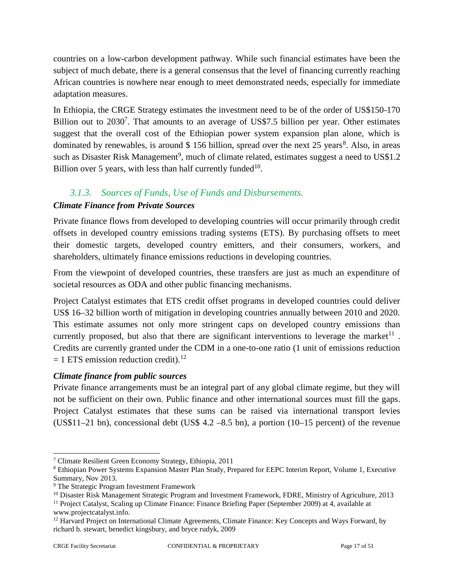countries on a low-carbon development pathway. While such financial estimates have been the subject of much debate, there is a general consensus that the level of financing currently reaching African countries is nowhere near enough to meet demonstrated needs, especially for immediate adaptation measures.

In Ethiopia, the CRGE Strategy estimates the investment need to be of the order of US\$150-170 Billion out to  $2030^7$ . That amounts to an average of US\$7.5 billion per year. Other estimates suggest that the overall cost of the Ethiopian power system expansion plan alone, which is dominated by renewables, is around \$ 156 billion, spread over the next 25 years<sup>8</sup>. Also, in areas such as Disaster Risk Management<sup>9</sup>, much of climate related, estimates suggest a need to US\$1.2 Billion over 5 years, with less than half currently funded  $10$ .

# *3.1.3. Sources of Funds, Use of Funds and Disbursements.*

# *Climate Finance from Private Sources*

Private finance flows from developed to developing countries will occur primarily through credit offsets in developed country emissions trading systems (ETS). By purchasing offsets to meet their domestic targets, developed country emitters, and their consumers, workers, and shareholders, ultimately finance emissions reductions in developing countries.

From the viewpoint of developed countries, these transfers are just as much an expenditure of societal resources as ODA and other public financing mechanisms.

Project Catalyst estimates that ETS credit offset programs in developed countries could deliver US\$ 16–32 billion worth of mitigation in developing countries annually between 2010 and 2020. This estimate assumes not only more stringent caps on developed country emissions than currently proposed, but also that there are significant interventions to leverage the market  $11$ . Credits are currently granted under the CDM in a one-to-one ratio (1 unit of emissions reduction  $= 1$  ETS emission reduction credit).<sup>12</sup>

# *Climate finance from public sources*

Private finance arrangements must be an integral part of any global climate regime, but they will not be sufficient on their own. Public finance and other international sources must fill the gaps. Project Catalyst estimates that these sums can be raised via international transport levies (US\$11–21 bn), concessional debt (US\$ 4.2 –8.5 bn), a portion (10–15 percent) of the revenue

<sup>7</sup> Climate Resilient Green Economy Strategy, Ethiopia, 2011

<sup>8</sup> Ethiopian Power Systems Expansion Master Plan Study, Prepared for EEPC Interim Report, Volume 1, Executive Summary, Nov 2013.

<sup>9</sup> The Strategic Program Investment Framework

<sup>&</sup>lt;sup>10</sup> Disaster Risk Management Strategic Program and Investment Framework, FDRE, Ministry of Agriculture, 2013

<sup>&</sup>lt;sup>11</sup> Project Catalyst, Scaling up Climate Finance: Finance Briefing Paper (September 2009) at 4, available at www.projectcatalyst.info.

 $12$  Harvard Project on International Climate Agreements, Climate Finance: Key Concepts and Ways Forward, by richard b. stewart, benedict kingsbury, and bryce rudyk, 2009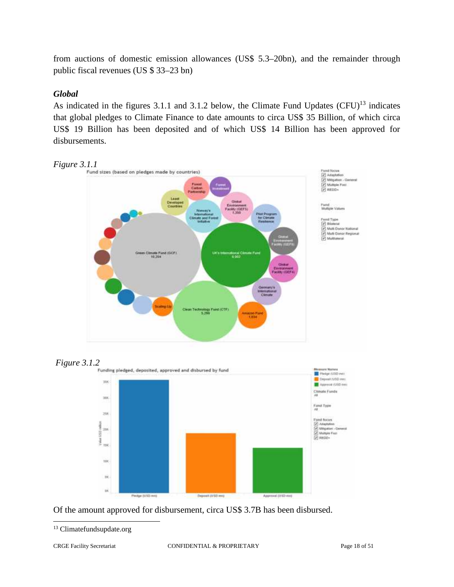from auctions of domestic emission allowances (US\$ 5.3–20bn), and the remainder through public fiscal revenues (US \$ 33–23 bn)

# *Global*

As indicated in the figures  $3.1.1$  and  $3.1.2$  below, the Climate Fund Updates (CFU)<sup>13</sup> indicates that global pledges to Climate Finance to date amounts to circa US\$ 35 Billion, of which circa US\$ 19 Billion has been deposited and of which US\$ 14 Billion has been approved for disbursements.





Of the amount approved for disbursement, circa US\$ 3.7B has been disbursed.

<sup>&</sup>lt;sup>13</sup> Climatefundsupdate.org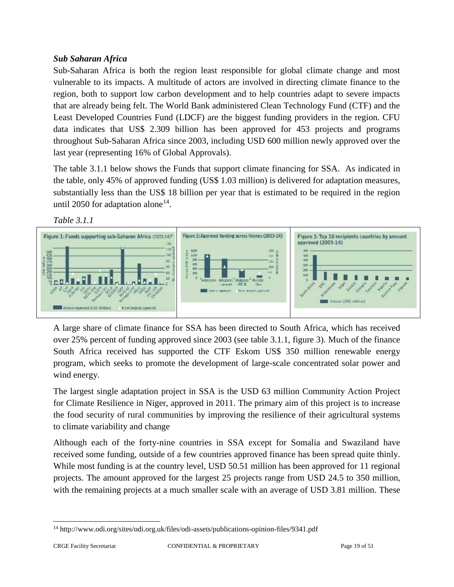# *Sub Saharan Africa*

Sub-Saharan Africa is both the region least responsible for global climate change and most vulnerable to its impacts. A multitude of actors are involved in directing climate finance to the region, both to support low carbon development and to help countries adapt to severe impacts that are already being felt. The World Bank administered Clean Technology Fund (CTF) and the Least Developed Countries Fund (LDCF) are the biggest funding providers in the region. CFU data indicates that US\$ 2.309 billion has been approved for 453 projects and programs throughout Sub-Saharan Africa since 2003, including USD 600 million newly approved over the last year (representing 16% of Global Approvals).

The table 3.1.1 below shows the Funds that support climate financing for SSA. As indicated in the table, only 45% of approved funding (US\$ 1.03 million) is delivered for adaptation measures, substantially less than the US\$ 18 billion per year that is estimated to be required in the region until 2050 for adaptation alone<sup>14</sup>.

*Table 3.1.1*



A large share of climate finance for SSA has been directed to South Africa, which has received over 25% percent of funding approved since 2003 (see table 3.1.1, figure 3). Much of the finance South Africa received has supported the CTF Eskom US\$ 350 million renewable energy program, which seeks to promote the development of large-scale concentrated solar power and wind energy.

The largest single adaptation project in SSA is the USD 63 million Community Action Project for Climate Resilience in Niger, approved in 2011. The primary aim of this project is to increase the food security of rural communities by improving the resilience of their agricultural systems to climate variability and change

Although each of the forty-nine countries in SSA except for Somalia and Swaziland have received some funding, outside of a few countries approved finance has been spread quite thinly. While most funding is at the country level, USD 50.51 million has been approved for 11 regional projects. The amount approved for the largest 25 projects range from USD 24.5 to 350 million, with the remaining projects at a much smaller scale with an average of USD 3.81 million. These

<sup>14</sup> http://www.odi.org/sites/odi.org.uk/files/odi-assets/publications-opinion-files/9341.pdf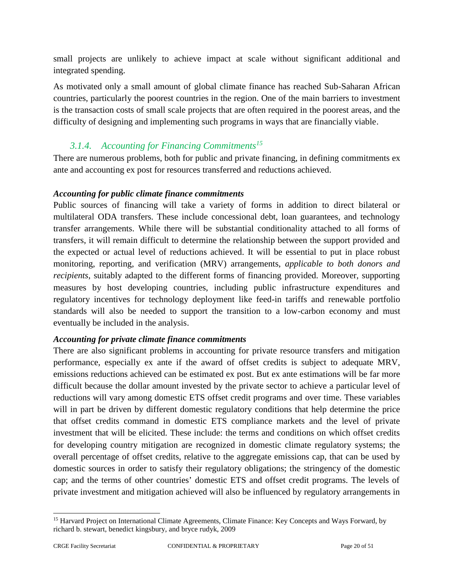small projects are unlikely to achieve impact at scale without significant additional and integrated spending.

As motivated only a small amount of global climate finance has reached Sub-Saharan African countries, particularly the poorest countries in the region. One of the main barriers to investment is the transaction costs of small scale projects that are often required in the poorest areas, and the difficulty of designing and implementing such programs in ways that are financially viable.

# *3.1.4. Accounting for Financing Commitments<sup>15</sup>*

There are numerous problems, both for public and private financing, in defining commitments ex ante and accounting ex post for resources transferred and reductions achieved.

# *Accounting for public climate finance commitments*

Public sources of financing will take a variety of forms in addition to direct bilateral or multilateral ODA transfers. These include concessional debt, loan guarantees, and technology transfer arrangements. While there will be substantial conditionality attached to all forms of transfers, it will remain difficult to determine the relationship between the support provided and the expected or actual level of reductions achieved. It will be essential to put in place robust monitoring, reporting, and verification (MRV) arrangements, *applicable to both donors and recipients*, suitably adapted to the different forms of financing provided. Moreover, supporting measures by host developing countries, including public infrastructure expenditures and regulatory incentives for technology deployment like feed-in tariffs and renewable portfolio standards will also be needed to support the transition to a low-carbon economy and must eventually be included in the analysis.

# *Accounting for private climate finance commitments*

There are also significant problems in accounting for private resource transfers and mitigation performance, especially ex ante if the award of offset credits is subject to adequate MRV, emissions reductions achieved can be estimated ex post. But ex ante estimations will be far more difficult because the dollar amount invested by the private sector to achieve a particular level of reductions will vary among domestic ETS offset credit programs and over time. These variables will in part be driven by different domestic regulatory conditions that help determine the price that offset credits command in domestic ETS compliance markets and the level of private investment that will be elicited. These include: the terms and conditions on which offset credits for developing country mitigation are recognized in domestic climate regulatory systems; the overall percentage of offset credits, relative to the aggregate emissions cap, that can be used by domestic sources in order to satisfy their regulatory obligations; the stringency of the domestic cap; and the terms of other countries' domestic ETS and offset credit programs. The levels of private investment and mitigation achieved will also be influenced by regulatory arrangements in

<sup>&</sup>lt;sup>15</sup> Harvard Project on International Climate Agreements, Climate Finance: Key Concepts and Ways Forward, by richard b. stewart, benedict kingsbury, and bryce rudyk, 2009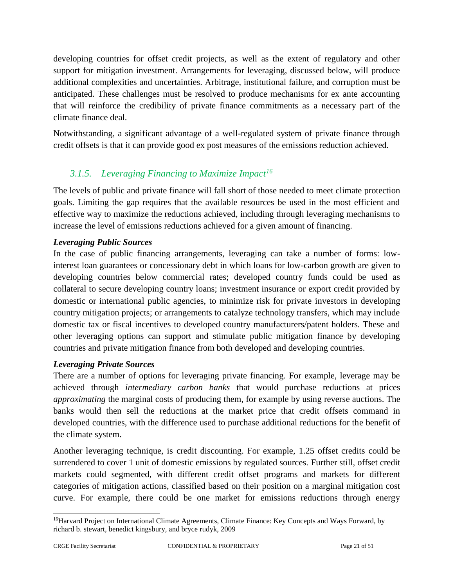developing countries for offset credit projects, as well as the extent of regulatory and other support for mitigation investment. Arrangements for leveraging, discussed below, will produce additional complexities and uncertainties. Arbitrage, institutional failure, and corruption must be anticipated. These challenges must be resolved to produce mechanisms for ex ante accounting that will reinforce the credibility of private finance commitments as a necessary part of the climate finance deal.

Notwithstanding, a significant advantage of a well-regulated system of private finance through credit offsets is that it can provide good ex post measures of the emissions reduction achieved.

# *3.1.5. Leveraging Financing to Maximize Impact<sup>16</sup>*

The levels of public and private finance will fall short of those needed to meet climate protection goals. Limiting the gap requires that the available resources be used in the most efficient and effective way to maximize the reductions achieved, including through leveraging mechanisms to increase the level of emissions reductions achieved for a given amount of financing.

# *Leveraging Public Sources*

In the case of public financing arrangements, leveraging can take a number of forms: lowinterest loan guarantees or concessionary debt in which loans for low-carbon growth are given to developing countries below commercial rates; developed country funds could be used as collateral to secure developing country loans; investment insurance or export credit provided by domestic or international public agencies, to minimize risk for private investors in developing country mitigation projects; or arrangements to catalyze technology transfers, which may include domestic tax or fiscal incentives to developed country manufacturers/patent holders. These and other leveraging options can support and stimulate public mitigation finance by developing countries and private mitigation finance from both developed and developing countries.

# *Leveraging Private Sources*

There are a number of options for leveraging private financing. For example, leverage may be achieved through *intermediary carbon banks* that would purchase reductions at prices *approximating* the marginal costs of producing them, for example by using reverse auctions. The banks would then sell the reductions at the market price that credit offsets command in developed countries, with the difference used to purchase additional reductions for the benefit of the climate system.

Another leveraging technique, is credit discounting. For example, 1.25 offset credits could be surrendered to cover 1 unit of domestic emissions by regulated sources. Further still, offset credit markets could segmented, with different credit offset programs and markets for different categories of mitigation actions, classified based on their position on a marginal mitigation cost curve. For example, there could be one market for emissions reductions through energy

<sup>&</sup>lt;sup>16</sup>Harvard Project on International Climate Agreements, Climate Finance: Key Concepts and Ways Forward, by richard b. stewart, benedict kingsbury, and bryce rudyk, 2009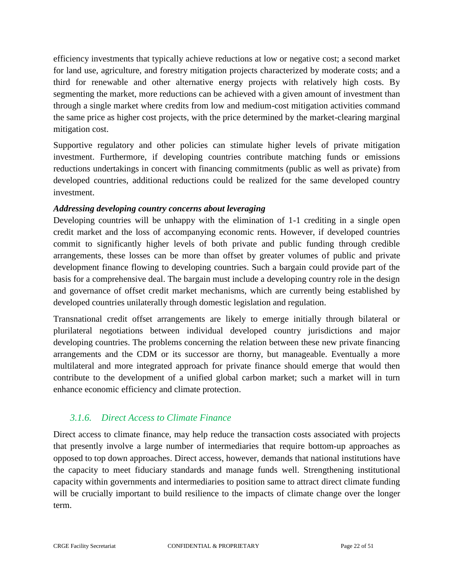efficiency investments that typically achieve reductions at low or negative cost; a second market for land use, agriculture, and forestry mitigation projects characterized by moderate costs; and a third for renewable and other alternative energy projects with relatively high costs. By segmenting the market, more reductions can be achieved with a given amount of investment than through a single market where credits from low and medium-cost mitigation activities command the same price as higher cost projects, with the price determined by the market-clearing marginal mitigation cost.

Supportive regulatory and other policies can stimulate higher levels of private mitigation investment. Furthermore, if developing countries contribute matching funds or emissions reductions undertakings in concert with financing commitments (public as well as private) from developed countries, additional reductions could be realized for the same developed country investment.

# *Addressing developing country concerns about leveraging*

Developing countries will be unhappy with the elimination of 1-1 crediting in a single open credit market and the loss of accompanying economic rents. However, if developed countries commit to significantly higher levels of both private and public funding through credible arrangements, these losses can be more than offset by greater volumes of public and private development finance flowing to developing countries. Such a bargain could provide part of the basis for a comprehensive deal. The bargain must include a developing country role in the design and governance of offset credit market mechanisms, which are currently being established by developed countries unilaterally through domestic legislation and regulation.

Transnational credit offset arrangements are likely to emerge initially through bilateral or plurilateral negotiations between individual developed country jurisdictions and major developing countries. The problems concerning the relation between these new private financing arrangements and the CDM or its successor are thorny, but manageable. Eventually a more multilateral and more integrated approach for private finance should emerge that would then contribute to the development of a unified global carbon market; such a market will in turn enhance economic efficiency and climate protection.

# *3.1.6. Direct Access to Climate Finance*

Direct access to climate finance, may help reduce the transaction costs associated with projects that presently involve a large number of intermediaries that require bottom-up approaches as opposed to top down approaches. Direct access, however, demands that national institutions have the capacity to meet fiduciary standards and manage funds well. Strengthening institutional capacity within governments and intermediaries to position same to attract direct climate funding will be crucially important to build resilience to the impacts of climate change over the longer term.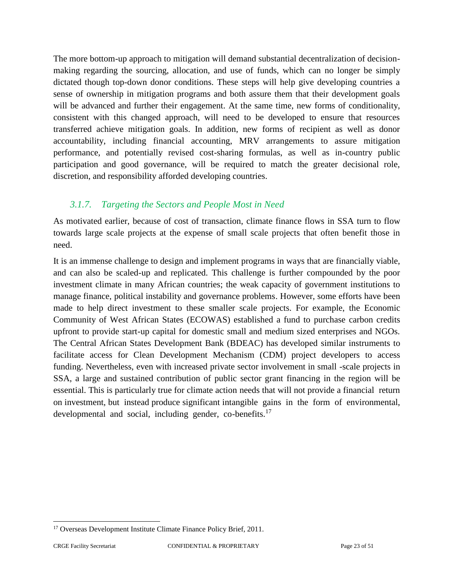The more bottom-up approach to mitigation will demand substantial decentralization of decision making regarding the sourcing, allocation, and use of funds, which can no longer be simply dictated though top-down donor conditions. These steps will help give developing countries a sense of ownership in mitigation programs and both assure them that their development goals will be advanced and further their engagement. At the same time, new forms of conditionality, consistent with this changed approach, will need to be developed to ensure that resources transferred achieve mitigation goals. In addition, new forms of recipient as well as donor accountability, including financial accounting, MRV arrangements to assure mitigation performance, and potentially revised cost-sharing formulas, as well as in-country public participation and good governance, will be required to match the greater decisional role, discretion, and responsibility afforded developing countries.

# *3.1.7. Targeting the Sectors and People Most in Need*

As motivated earlier, because of cost of transaction, climate finance flows in SSA turn to flow towards large scale projects at the expense of small scale projects that often benefit those in need.

It is an immense challenge to design and implement programs in ways that are financially viable, and can also be scaled-up and replicated. This challenge is further compounded by the poor investment climate in many African countries; the weak capacity of government institutions to manage finance, political instability and governance problems. However, some efforts have been made to help direct investment to these smaller scale projects. For example, the Economic Community of West African States (ECOWAS) established a fund to purchase carbon credits upfront to provide start-up capital for domestic small and medium sized enterprises and NGOs. The Central African States Development Bank (BDEAC) has developed similar instruments to facilitate access for Clean Development Mechanism (CDM) project developers to access funding. Nevertheless, even with increased private sector involvement in small -scale projects in SSA, a large and sustained contribution of public sector grant financing in the region will be essential. This is particularly true for climate action needs that will not provide a financial return on investment, but instead produce significant intangible gains in the form of environmental, developmental and social, including gender, co-benefits.<sup>17</sup>

<sup>&</sup>lt;sup>17</sup> Overseas Development Institute Climate Finance Policy Brief, 2011.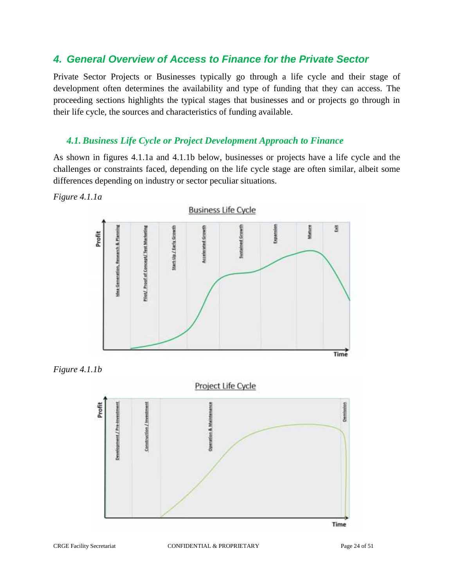# *4. General Overview of Access to Finance for the Private Sector*

Private Sector Projects or Businesses typically go through a life cycle and their stage of development often determines the availability and type of funding that they can access. The proceeding sections highlights the typical stages that businesses and or projects go through in their life cycle, the sources and characteristics of funding available.

#### *4.1. Business Life Cycle or Project Development Approach to Finance*

As shown in figures 4.1.1a and 4.1.1b below, businesses or projects have a life cycle and the challenges or constraints faced, depending on the life cycle stage are often similar, albeit some differences depending on industry or sector peculiar situations.

*Figure 4.1.1a*





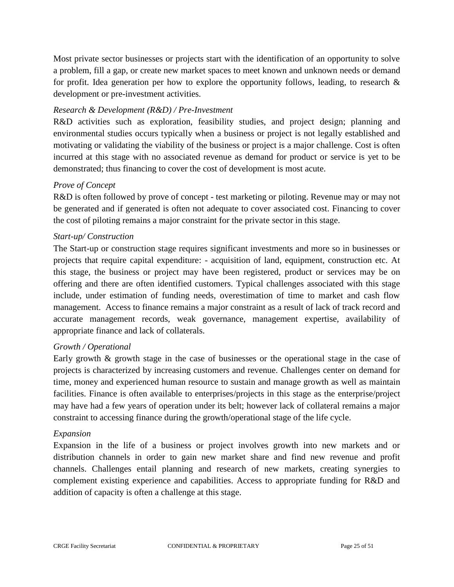Most private sector businesses or projects start with the identification of an opportunity to solve a problem, fill a gap, or create new market spaces to meet known and unknown needs or demand for profit. Idea generation per how to explore the opportunity follows, leading, to research  $\&$ development or pre-investment activities.

#### *Research & Development (R&D) / Pre-Investment*

R&D activities such as exploration, feasibility studies, and project design; planning and environmental studies occurs typically when a business or project is not legally established and motivating or validating the viability of the business or project is a major challenge. Cost is often incurred at this stage with no associated revenue as demand for product or service is yet to be demonstrated; thus financing to cover the cost of development is most acute.

#### *Prove of Concept*

R&D is often followed by prove of concept - test marketing or piloting. Revenue may or may not be generated and if generated is often not adequate to cover associated cost. Financing to cover the cost of piloting remains a major constraint for the private sector in this stage.

#### *Start-up/ Construction*

The Start-up or construction stage requires significant investments and more so in businesses or projects that require capital expenditure: - acquisition of land, equipment, construction etc. At this stage, the business or project may have been registered, product or services may be on offering and there are often identified customers. Typical challenges associated with this stage include, under estimation of funding needs, overestimation of time to market and cash flow management. Access to finance remains a major constraint as a result of lack of track record and accurate management records, weak governance, management expertise, availability of appropriate finance and lack of collaterals.

#### *Growth / Operational*

Early growth & growth stage in the case of businesses or the operational stage in the case of projects is characterized by increasing customers and revenue. Challenges center on demand for time, money and experienced human resource to sustain and manage growth as well as maintain facilities. Finance is often available to enterprises/projects in this stage as the enterprise/project may have had a few years of operation under its belt; however lack of collateral remains a major constraint to accessing finance during the growth/operational stage of the life cycle.

#### *Expansion*

Expansion in the life of a business or project involves growth into new markets and or distribution channels in order to gain new market share and find new revenue and profit channels. Challenges entail planning and research of new markets, creating synergies to complement existing experience and capabilities. Access to appropriate funding for R&D and addition of capacity is often a challenge at this stage.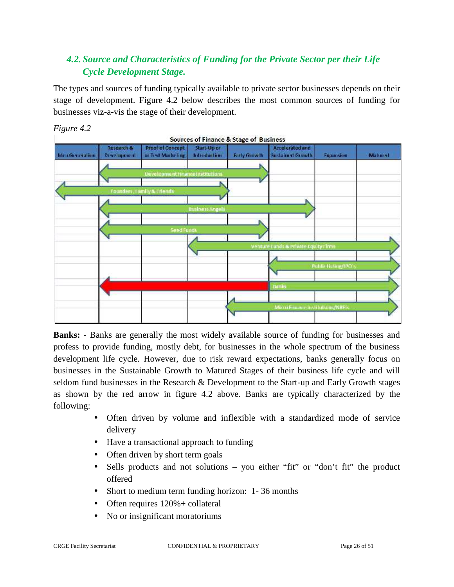# *4.2. Source and Characteristics of Funding for the Private Sector per their Life Cycle Development Stage.*

The types and sources of funding typically available to private sector businesses depends on their stage of development. Figure 4.2 below describes the most common sources of funding for businesses viz-a-vis the stage of their development.



*Figure 4.2*

**Banks:** - Banks are generally the most widely available source of funding for businesses and profess to provide funding, mostly debt, for businesses in the whole spectrum of the business development life cycle. However, due to risk reward expectations, banks generally focus on businesses in the Sustainable Growth to Matured Stages of their business life cycle and will seldom fund businesses in the Research & Development to the Start-up and Early Growth stages as shown by the red arrow in figure 4.2 above. Banks are typically characterized by the following:

- Often driven by volume and inflexible with a standardized mode of service delivery
- Have a transactional approach to funding
- Often driven by short term goals
- Sells products and not solutions you either "fit" or "don't fit" the product offered
- Short to medium term funding horizon: 1-36 months
- Often requires  $120% + \text{collateral}$
- No or insignificant moratoriums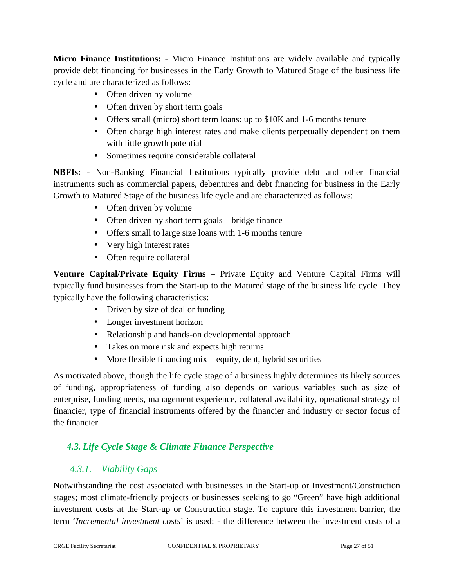**Micro Finance Institutions:** - Micro Finance Institutions are widely available and typically provide debt financing for businesses in the Early Growth to Matured Stage of the business life cycle and are characterized as follows:

- Often driven by volume
- Often driven by short term goals
- Offers small (micro) short term loans: up to \$10K and 1-6 months tenure
- Often charge high interest rates and make clients perpetually dependent on them with little growth potential
- Sometimes require considerable collateral

**NBFIs:** - Non-Banking Financial Institutions typically provide debt and other financial instruments such as commercial papers, debentures and debt financing for business in the Early Growth to Matured Stage of the business life cycle and are characterized as follows:

- Often driven by volume
- Often driven by short term goals bridge finance
- Offers small to large size loans with 1-6 months tenure
- Very high interest rates
- Often require collateral

**Venture Capital/Private Equity Firms** – Private Equity and Venture Capital Firms will typically fund businesses from the Start-up to the Matured stage of the business life cycle. They typically have the following characteristics:

- Driven by size of deal or funding
- Longer investment horizon
- Relationship and hands-on developmental approach
- Takes on more risk and expects high returns.
- More flexible financing mix  $-$  equity, debt, hybrid securities

As motivated above, though the life cycle stage of a business highly determines its likely sources of funding, appropriateness of funding also depends on various variables such as size of enterprise, funding needs, management experience, collateral availability, operational strategy of financier, type of financial instruments offered by the financier and industry or sector focus of the financier.

# *4.3. Life Cycle Stage & Climate Finance Perspective*

# *4.3.1. Viability Gaps*

Notwithstanding the cost associated with businesses in the Start-up or Investment/Construction stages; most climate-friendly projects or businesses seeking to go "Green" have high additional investment costs at the Start-up or Construction stage. To capture this investment barrier, the term '*Incremental investment costs*' is used: - the difference between the investment costs of a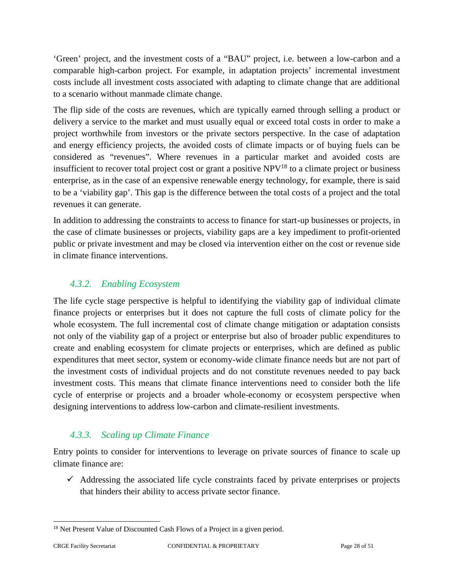'Green' project, and the investment costs of a "BAU" project, i.e. between a low-carbon and a comparable high-carbon project. For example, in adaptation projects' incremental investment costs include all investment costs associated with adapting to climate change that are additional to a scenario without manmade climate change.

The flip side of the costs are revenues, which are typically earned through selling a product or delivery a service to the market and must usually equal or exceed total costs in order to make a project worthwhile from investors or the private sectors perspective. In the case of adaptation and energy efficiency projects, the avoided costs of climate impacts or of buying fuels can be considered as "revenues". Where revenues in a particular market and avoided costs are insufficient to recover total project cost or grant a positive  $NPV<sup>18</sup>$  to a climate project or business enterprise, as in the case of an expensive renewable energy technology, for example, there is said to be a 'viability gap'. This gap is the difference between the total costs of a project and the total revenues it can generate.

In addition to addressing the constraints to access to finance for start-up businesses or projects, in the case of climate businesses or projects, viability gaps are a key impediment to profit-oriented public or private investment and may be closed via intervention either on the cost or revenue side in climate finance interventions.

# *4.3.2. Enabling Ecosystem*

The life cycle stage perspective is helpful to identifying the viability gap of individual climate finance projects or enterprises but it does not capture the full costs of climate policy for the whole ecosystem. The full incremental cost of climate change mitigation or adaptation consists not only of the viability gap of a project or enterprise but also of broader public expenditures to create and enabling ecosystem for climate projects or enterprises, which are defined as public expenditures that meet sector, system or economy-wide climate finance needs but are not part of the investment costs of individual projects and do not constitute revenues needed to pay back investment costs. This means that climate finance interventions need to consider both the life cycle of enterprise or projects and a broader whole-economy or ecosystem perspective when designing interventions to address low-carbon and climate-resilient investments.

# *4.3.3. Scaling up Climate Finance*

Entry points to consider for interventions to leverage on private sources of finance to scale up climate finance are:

 $\checkmark$  Addressing the associated life cycle constraints faced by private enterprises or projects that hinders their ability to access private sector finance.

<sup>&</sup>lt;sup>18</sup> Net Present Value of Discounted Cash Flows of a Project in a given period.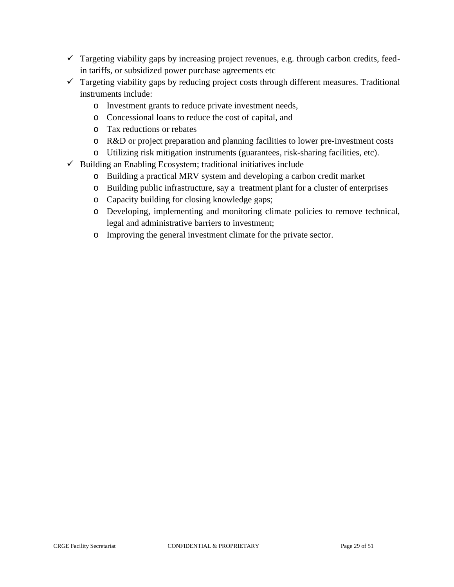- $\checkmark$  Targeting viability gaps by increasing project revenues, e.g. through carbon credits, feedin tariffs, or subsidized power purchase agreements etc
- $\checkmark$  Targeting viability gaps by reducing project costs through different measures. Traditional instruments include:
	- o Investment grants to reduce private investment needs,
	- o Concessional loans to reduce the cost of capital, and
	- o Tax reductions or rebates
	- o R&D or project preparation and planning facilities to lower pre-investment costs
	- o Utilizing risk mitigation instruments (guarantees, risk-sharing facilities, etc).
- $\checkmark$  Building an Enabling Ecosystem; traditional initiatives include
	- o Building a practical MRV system and developing a carbon credit market
	- o Building public infrastructure, say a treatment plant for a cluster of enterprises
	- o Capacity building for closing knowledge gaps;
	- o Developing, implementing and monitoring climate policies to remove technical, legal and administrative barriers to investment;
	- o Improving the general investment climate for the private sector.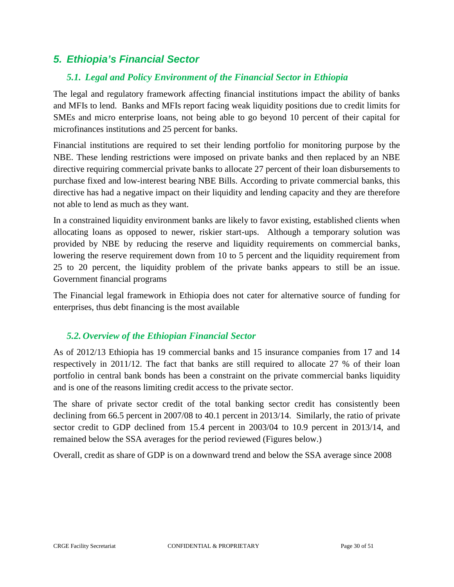# *5. Ethiopia's Financial Sector*

# *5.1. Legal and Policy Environment of the Financial Sector in Ethiopia*

The legal and regulatory framework affecting financial institutions impact the ability of banks and MFIs to lend. Banks and MFIs report facing weak liquidity positions due to credit limits for SMEs and micro enterprise loans, not being able to go beyond 10 percent of their capital for microfinances institutions and 25 percent for banks.

Financial institutions are required to set their lending portfolio for monitoring purpose by the NBE. These lending restrictions were imposed on private banks and then replaced by an NBE directive requiring commercial private banks to allocate 27 percent of their loan disbursements to purchase fixed and low-interest bearing NBE Bills. According to private commercial banks, this directive has had a negative impact on their liquidity and lending capacity and they are therefore not able to lend as much as they want.

In a constrained liquidity environment banks are likely to favor existing, established clients when allocating loans as opposed to newer, riskier start-ups. Although a temporary solution was provided by NBE by reducing the reserve and liquidity requirements on commercial banks, lowering the reserve requirement down from 10 to 5 percent and the liquidity requirement from 25 to 20 percent, the liquidity problem of the private banks appears to still be an issue. Government financial programs

The Financial legal framework in Ethiopia does not cater for alternative source of funding for enterprises, thus debt financing is the most available

# *5.2. Overview of the Ethiopian Financial Sector*

As of 2012/13 Ethiopia has 19 commercial banks and 15 insurance companies from 17 and 14 respectively in 2011/12. The fact that banks are still required to allocate 27 % of their loan portfolio in central bank bonds has been a constraint on the private commercial banks liquidity and is one of the reasons limiting credit access to the private sector.

The share of private sector credit of the total banking sector credit has consistently been declining from 66.5 percent in 2007/08 to 40.1 percent in 2013/14. Similarly, the ratio of private sector credit to GDP declined from 15.4 percent in 2003/04 to 10.9 percent in 2013/14, and remained below the SSA averages for the period reviewed (Figures below.)

Overall, credit as share of GDP is on a downward trend and below the SSA average since 2008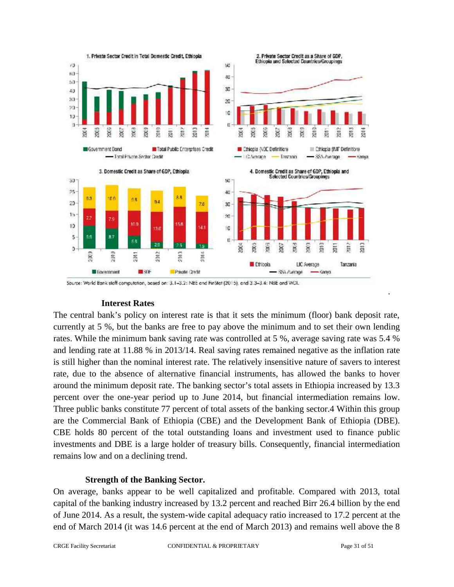

Source: World Bank staff computation, based on: 3.1-3.2: NBE and FinStat (2015), and 3.3-3.4: NBE and WDI.

#### **Interest Rates**

The central bank's policy on interest rate is that it sets the minimum (floor) bank deposit rate, currently at 5 %, but the banks are free to pay above the minimum and to set their own lending rates. While the minimum bank saving rate was controlled at 5 %, average saving rate was 5.4 % and lending rate at 11.88 % in 2013/14. Real saving rates remained negative as the inflation rate is still higher than the nominal interest rate. The relatively insensitive nature of savers to interest rate, due to the absence of alternative financial instruments, has allowed the banks to hover around the minimum deposit rate. The banking sector's total assets in Ethiopia increased by 13.3 percent over the one-year period up to June 2014, but financial intermediation remains low. Three public banks constitute 77 percent of total assets of the banking sector.4 Within this group are the Commercial Bank of Ethiopia (CBE) and the Development Bank of Ethiopia (DBE). CBE holds 80 percent of the total outstanding loans and investment used to finance public investments and DBE is a large holder of treasury bills. Consequently, financial intermediation remains low and on a declining trend.

#### **Strength of the Banking Sector.**

On average, banks appear to be well capitalized and profitable. Compared with 2013, total capital of the banking industry increased by 13.2 percent and reached Birr 26.4 billion by the end of June 2014. As a result, the system-wide capital adequacy ratio increased to 17.2 percent at the end of March 2014 (it was 14.6 percent at the end of March 2013) and remains well above the 8

.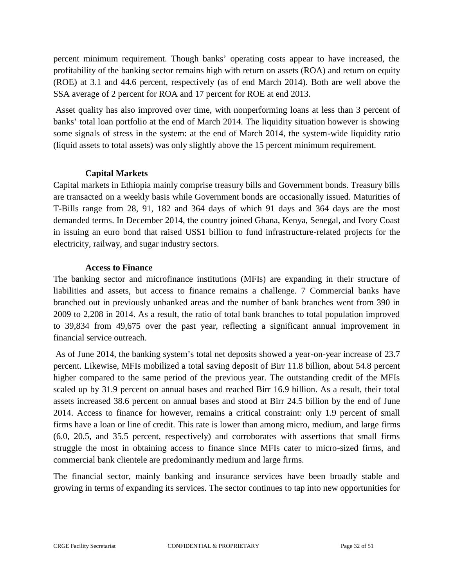percent minimum requirement. Though banks' operating costs appear to have increased, the profitability of the banking sector remains high with return on assets (ROA) and return on equity (ROE) at 3.1 and 44.6 percent, respectively (as of end March 2014). Both are well above the SSA average of 2 percent for ROA and 17 percent for ROE at end 2013.

Asset quality has also improved over time, with nonperforming loans at less than 3 percent of banks' total loan portfolio at the end of March 2014. The liquidity situation however is showing some signals of stress in the system: at the end of March 2014, the system-wide liquidity ratio (liquid assets to total assets) was only slightly above the 15 percent minimum requirement.

#### **Capital Markets**

Capital markets in Ethiopia mainly comprise treasury bills and Government bonds. Treasury bills are transacted on a weekly basis while Government bonds are occasionally issued. Maturities of T-Bills range from 28, 91, 182 and 364 days of which 91 days and 364 days are the most demanded terms. In December 2014, the country joined Ghana, Kenya, Senegal, and Ivory Coast in issuing an euro bond that raised US\$1 billion to fund infrastructure-related projects for the electricity, railway, and sugar industry sectors.

#### **Access to Finance**

The banking sector and microfinance institutions (MFIs) are expanding in their structure of liabilities and assets, but access to finance remains a challenge. 7 Commercial banks have branched out in previously unbanked areas and the number of bank branches went from 390 in 2009 to 2,208 in 2014. As a result, the ratio of total bank branches to total population improved to 39,834 from 49,675 over the past year, reflecting a significant annual improvement in financial service outreach.

As of June 2014, the banking system's total net deposits showed a year-on-year increase of 23.7 percent. Likewise, MFIs mobilized a total saving deposit of Birr 11.8 billion, about 54.8 percent higher compared to the same period of the previous year. The outstanding credit of the MFIs scaled up by 31.9 percent on annual bases and reached Birr 16.9 billion. As a result, their total assets increased 38.6 percent on annual bases and stood at Birr 24.5 billion by the end of June 2014. Access to finance for however, remains a critical constraint: only 1.9 percent of small firms have a loan or line of credit. This rate is lower than among micro, medium, and large firms (6.0, 20.5, and 35.5 percent, respectively) and corroborates with assertions that small firms struggle the most in obtaining access to finance since MFIs cater to micro-sized firms, and commercial bank clientele are predominantly medium and large firms.

The financial sector, mainly banking and insurance services have been broadly stable and growing in terms of expanding its services. The sector continues to tap into new opportunities for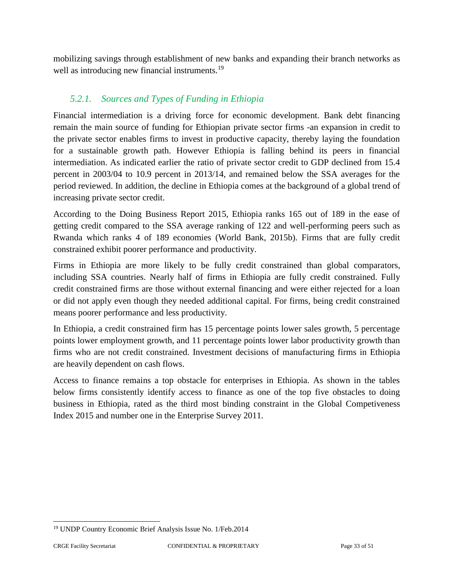mobilizing savings through establishment of new banks and expanding their branch networks as well as introducing new financial instruments.<sup>19</sup>

# *5.2.1. Sources and Types of Funding in Ethiopia*

Financial intermediation is a driving force for economic development. Bank debt financing remain the main source of funding for Ethiopian private sector firms -an expansion in credit to the private sector enables firms to invest in productive capacity, thereby laying the foundation for a sustainable growth path. However Ethiopia is falling behind its peers in financial intermediation. As indicated earlier the ratio of private sector credit to GDP declined from 15.4 percent in 2003/04 to 10.9 percent in 2013/14, and remained below the SSA averages for the period reviewed. In addition, the decline in Ethiopia comes at the background of a global trend of increasing private sector credit.

According to the Doing Business Report 2015, Ethiopia ranks 165 out of 189 in the ease of getting credit compared to the SSA average ranking of 122 and well-performing peers such as Rwanda which ranks 4 of 189 economies (World Bank, 2015b). Firms that are fully credit constrained exhibit poorer performance and productivity.

Firms in Ethiopia are more likely to be fully credit constrained than global comparators, including SSA countries. Nearly half of firms in Ethiopia are fully credit constrained. Fully credit constrained firms are those without external financing and were either rejected for a loan or did not apply even though they needed additional capital. For firms, being credit constrained means poorer performance and less productivity.

In Ethiopia, a credit constrained firm has 15 percentage points lower sales growth, 5 percentage points lower employment growth, and 11 percentage points lower labor productivity growth than firms who are not credit constrained. Investment decisions of manufacturing firms in Ethiopia are heavily dependent on cash flows.

Access to finance remains a top obstacle for enterprises in Ethiopia. As shown in the tables below firms consistently identify access to finance as one of the top five obstacles to doing business in Ethiopia, rated as the third most binding constraint in the Global Competiveness Index 2015 and number one in the Enterprise Survey 2011.

<sup>19</sup> UNDP Country Economic Brief Analysis Issue No. 1/Feb.2014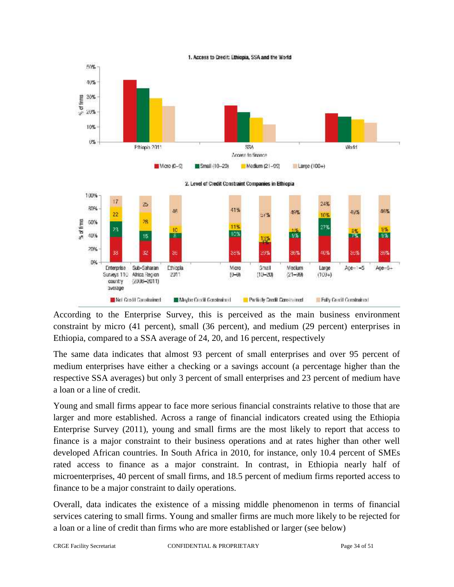

According to the Enterprise Survey, this is perceived as the main business environment constraint by micro (41 percent), small (36 percent), and medium (29 percent) enterprises in Ethiopia, compared to a SSA average of 24, 20, and 16 percent, respectively

The same data indicates that almost 93 percent of small enterprises and over 95 percent of medium enterprises have either a checking or a savings account (a percentage higher than the respective SSA averages) but only 3 percent of small enterprises and 23 percent of medium have a loan or a line of credit.

Young and small firms appear to face more serious financial constraints relative to those that are larger and more established. Across a range of financial indicators created using the Ethiopia Enterprise Survey (2011), young and small firms are the most likely to report that access to finance is a major constraint to their business operations and at rates higher than other well developed African countries. In South Africa in 2010, for instance, only 10.4 percent of SMEs rated access to finance as a major constraint. In contrast, in Ethiopia nearly half of microenterprises, 40 percent of small firms, and 18.5 percent of medium firms reported access to finance to be a major constraint to daily operations.

Overall, data indicates the existence of a missing middle phenomenon in terms of financial services catering to small firms. Young and smaller firms are much more likely to be rejected for a loan or a line of credit than firms who are more established or larger (see below)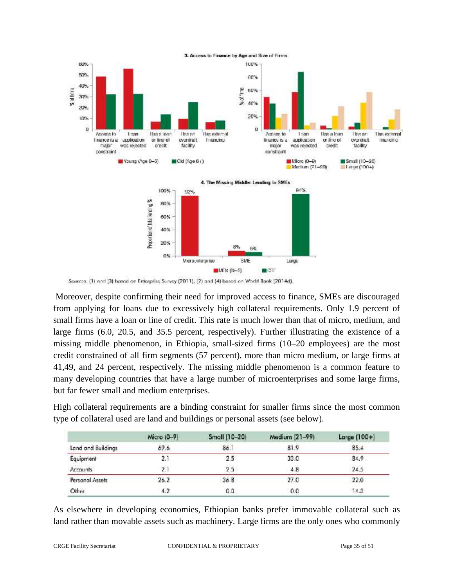

Sources: (1) and (3) based on Enterprise Survey (2011), (2) and (4) based on World Bank (2014d).

Moreover, despite confirming their need for improved access to finance, SMEs are discouraged from applying for loans due to excessively high collateral requirements. Only 1.9 percent of small firms have a loan or line of credit. This rate is much lower than that of micro, medium, and large firms (6.0, 20.5, and 35.5 percent, respectively). Further illustrating the existence of a missing middle phenomenon, in Ethiopia, small-sized firms (10–20 employees) are the most credit constrained of all firm segments (57 percent), more than micro medium, or large firms at 41,49, and 24 percent, respectively. The missing middle phenomenon is a common feature to many developing countries that have a large number of microenterprises and some large firms, but far fewer small and medium enterprises.

High collateral requirements are a binding constraint for smaller firms since the most common type of collateral used are land and buildings or personal assets (see below).

|                    | Micro (0-9) | Small (10-20) | Medium (21-99) | Large $(100+)$ |
|--------------------|-------------|---------------|----------------|----------------|
| Land and Buildings | 69.6        | 86.1          | 81.9           | 85.4           |
| Equipment          | 2.1         | 2.5           | 33.0           | 84.9           |
| <b>Accounts</b>    | $\hat{z}$   | 2.5           | 4.8            | 24.5           |
| Personal Assets    | 26.2        | 36.8          | 27.0           | 22.0           |
| Other              | 4.2         | 0.0           | 0.0            | 14.3           |

As elsewhere in developing economies, Ethiopian banks prefer immovable collateral such as land rather than movable assets such as machinery. Large firms are the only ones who commonly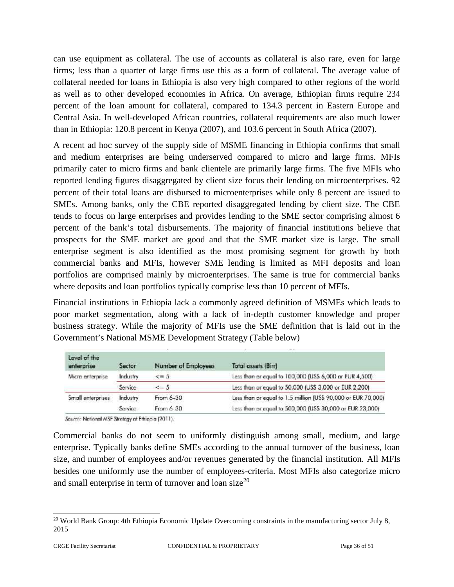can use equipment as collateral. The use of accounts as collateral is also rare, even for large firms; less than a quarter of large firms use this as a form of collateral. The average value of collateral needed for loans in Ethiopia is also very high compared to other regions of the world as well as to other developed economies in Africa. On average, Ethiopian firms require 234 percent of the loan amount for collateral, compared to 134.3 percent in Eastern Europe and Central Asia. In well-developed African countries, collateral requirements are also much lower than in Ethiopia: 120.8 percent in Kenya (2007), and 103.6 percent in South Africa (2007).

A recent ad hoc survey of the supply side of MSME financing in Ethiopia confirms that small and medium enterprises are being underserved compared to micro and large firms. MFIs primarily cater to micro firms and bank clientele are primarily large firms. The five MFIs who reported lending figures disaggregated by client size focus their lending on microenterprises. 92 percent of their total loans are disbursed to microenterprises while only 8 percent are issued to SMEs. Among banks, only the CBE reported disaggregated lending by client size. The CBE tends to focus on large enterprises and provides lending to the SME sector comprising almost 6 percent of the bank's total disbursements. The majority of financial institutions believe that prospects for the SME market are good and that the SME market size is large. The small enterprise segment is also identified as the most promising segment for growth by both commercial banks and MFIs, however SME lending is limited as MFI deposits and loan portfolios are comprised mainly by microenterprises. The same is true for commercial banks where deposits and loan portfolios typically comprise less than 10 percent of MFIs.

Financial institutions in Ethiopia lack a commonly agreed definition of MSMEs which leads to poor market segmentation, along with a lack of in-depth customer knowledge and proper business strategy. While the majority of MFIs use the SME definition that is laid out in the Government's National MSME Development Strategy (Table below)

| Level of the<br>enterprise | Sector   | Number of Employees | <b>Total assets (Birr)</b>                                    |
|----------------------------|----------|---------------------|---------------------------------------------------------------|
| Micro enterprise           | Industry | $\leq$ = 5          | Less than or equal to 100,000 (USS 6,000 or EUR 4,500).       |
|                            | Service  | $\leq$ 5            | Less than or equal to 50,000 (US\$ 3,000 or EUR 2,200)        |
| Small enterprises          | Industry | From 6-30           | Less than or equal to 1.5 million (US\$ 90,000 or EUR 70,000) |
|                            | Service  | From 6-30           | Less than or equal to 500,000 (US\$ 30,000 or EUR 23,000).    |

Source: National MSE Strategy of Ethiopia (2011).

Commercial banks do not seem to uniformly distinguish among small, medium, and large enterprise. Typically banks define SMEs according to the annual turnover of the business, loan size, and number of employees and/or revenues generated by the financial institution. All MFIs besides one uniformly use the number of employees-criteria. Most MFIs also categorize micro and small enterprise in term of turnover and loan size $20$ 

<sup>&</sup>lt;sup>20</sup> World Bank Group: 4th Ethiopia Economic Update Overcoming constraints in the manufacturing sector July 8, 2015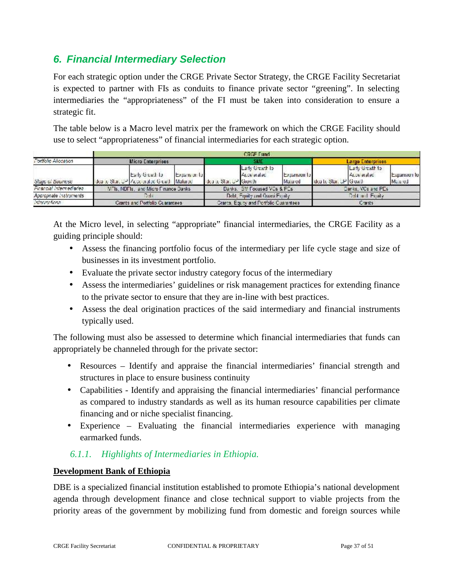# *6. Financial Intermediary Selection*

For each strategic option under the CRGE Private Sector Strategy, the CRGE Facility Secretariat is expected to partner with FIs as conduits to finance private sector "greening". In selecting intermediaries the "appropriateness" of the FI must be taken into consideration to ensure a strategic fit.

The table below is a Macro level matrix per the framework on which the CRGE Facility should use to select "appropriateness" of financial intermediaries for each strategic option.

|                         | <b>CRGF Fund</b>                     |                                                                    |                                         |                         |                                |                         |                         |                               |                        |
|-------------------------|--------------------------------------|--------------------------------------------------------------------|-----------------------------------------|-------------------------|--------------------------------|-------------------------|-------------------------|-------------------------------|------------------------|
| Fortfolio Allocation    | Micro Enterprises                    |                                                                    |                                         | SME                     |                                |                         | Large Enterprises       |                               |                        |
| Slaue of Bueinese       |                                      | Early Grewth to<br>Idea to Start UP   Accelerated Grewth   Malured | Expansion to                            | Idea to Start UP Growth | Larly Greath to<br>Accelerated | Expansion to<br>Matured | Idea to Slan, UP Growth | Laty Greath to<br>Accelerated | Expansion to<br>Matred |
| Financial Intermedianea | VFIs, NDFIs, and Micro Finance Danks |                                                                    | Danks, GM Focused VCs & PCs             |                         |                                | Danks, VCs and PEs.     |                         |                               |                        |
| Appropriate Instruments | Data                                 |                                                                    | Debt, Equity and Ouses Equity.          |                         | Dall and Foaly                 |                         |                         |                               |                        |
| Interventional          | Crants and Portfolio Cuarantees      |                                                                    | Grants, Equity and Portfolio Cuarantees |                         | Crants                         |                         |                         |                               |                        |

At the Micro level, in selecting "appropriate" financial intermediaries, the CRGE Facility as a guiding principle should:

- Assess the financing portfolio focus of the intermediary per life cycle stage and size of businesses in its investment portfolio.
- Evaluate the private sector industry category focus of the intermediary
- Assess the intermediaries' guidelines or risk management practices for extending finance to the private sector to ensure that they are in-line with best practices.
- Assess the deal origination practices of the said intermediary and financial instruments typically used.

The following must also be assessed to determine which financial intermediaries that funds can appropriately be channeled through for the private sector:

- Resources Identify and appraise the financial intermediaries' financial strength and structures in place to ensure business continuity
- Capabilities Identify and appraising the financial intermediaries' financial performance as compared to industry standards as well as its human resource capabilities per climate financing and or niche specialist financing.
- Experience Evaluating the financial intermediaries experience with managing earmarked funds.

# *6.1.1. Highlights of Intermediaries in Ethiopia.*

# **Development Bank of Ethiopia**

DBE is a specialized financial institution established to promote Ethiopia's national development agenda through development finance and close technical support to viable projects from the priority areas of the government by mobilizing fund from domestic and foreign sources while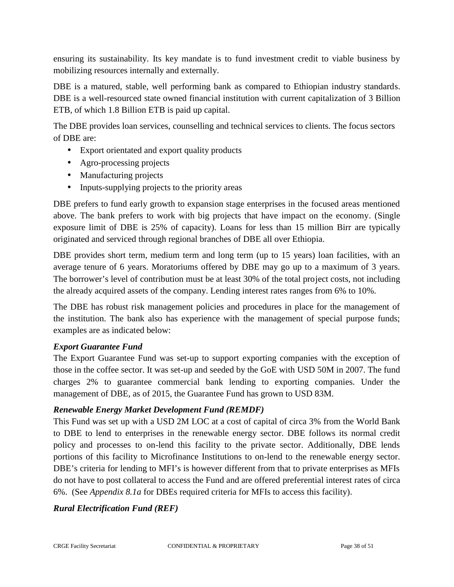ensuring its sustainability. Its key mandate is to fund investment credit to viable business by mobilizing resources internally and externally.

DBE is a matured, stable, well performing bank as compared to Ethiopian industry standards. DBE is a well-resourced state owned financial institution with current capitalization of 3 Billion ETB, of which 1.8 Billion ETB is paid up capital.

The DBE provides loan services, counselling and technical services to clients. The focus sectors of DBE are:

- Export orientated and export quality products
- Agro-processing projects
- Manufacturing projects
- Inputs-supplying projects to the priority areas

DBE prefers to fund early growth to expansion stage enterprises in the focused areas mentioned above. The bank prefers to work with big projects that have impact on the economy. (Single exposure limit of DBE is 25% of capacity). Loans for less than 15 million Birr are typically originated and serviced through regional branches of DBE all over Ethiopia.

DBE provides short term, medium term and long term (up to 15 years) loan facilities, with an average tenure of 6 years. Moratoriums offered by DBE may go up to a maximum of 3 years. The borrower's level of contribution must be at least 30% of the total project costs, not including the already acquired assets of the company. Lending interest rates ranges from 6% to 10%.

The DBE has robust risk management policies and procedures in place for the management of the institution. The bank also has experience with the management of special purpose funds; examples are as indicated below:

# *Export Guarantee Fund*

The Export Guarantee Fund was set-up to support exporting companies with the exception of those in the coffee sector. It was set-up and seeded by the GoE with USD 50M in 2007. The fund charges 2% to guarantee commercial bank lending to exporting companies. Under the management of DBE, as of 2015, the Guarantee Fund has grown to USD 83M.

# *Renewable Energy Market Development Fund (REMDF)*

This Fund was set up with a USD 2M LOC at a cost of capital of circa 3% from the World Bank to DBE to lend to enterprises in the renewable energy sector. DBE follows its normal credit policy and processes to on-lend this facility to the private sector. Additionally, DBE lends portions of this facility to Microfinance Institutions to on-lend to the renewable energy sector. DBE's criteria for lending to MFI's is however different from that to private enterprises as MFIs do not have to post collateral to access the Fund and are offered preferential interest rates of circa 6%. (See *Appendix 8.1a* for DBEs required criteria for MFIs to access this facility).

# *Rural Electrification Fund (REF)*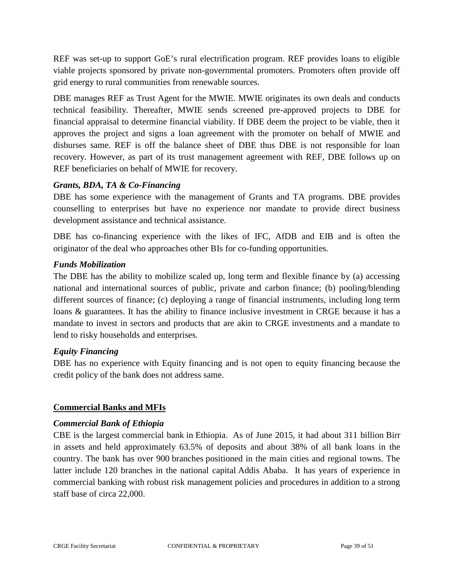REF was set-up to support GoE's rural electrification program. REF provides loans to eligible viable projects sponsored by private non-governmental promoters. Promoters often provide off grid energy to rural communities from renewable sources.

DBE manages REF as Trust Agent for the MWIE. MWIE originates its own deals and conducts technical feasibility. Thereafter, MWIE sends screened pre-approved projects to DBE for financial appraisal to determine financial viability. If DBE deem the project to be viable, then it approves the project and signs a loan agreement with the promoter on behalf of MWIE and disburses same. REF is off the balance sheet of DBE thus DBE is not responsible for loan recovery. However, as part of its trust management agreement with REF, DBE follows up on REF beneficiaries on behalf of MWIE for recovery.

# *Grants, BDA, TA & Co-Financing*

DBE has some experience with the management of Grants and TA programs. DBE provides counselling to enterprises but have no experience nor mandate to provide direct business development assistance and technical assistance.

DBE has co-financing experience with the likes of IFC, AfDB and EIB and is often the originator of the deal who approaches other BIs for co-funding opportunities.

#### *Funds Mobilization*

The DBE has the ability to mobilize scaled up, long term and flexible finance by (a) accessing national and international sources of public, private and carbon finance; (b) pooling/blending different sources of finance; (c) deploying a range of financial instruments, including long term loans & guarantees. It has the ability to finance inclusive investment in CRGE because it has a mandate to invest in sectors and products that are akin to CRGE investments and a mandate to lend to risky households and enterprises.

# *Equity Financing*

DBE has no experience with Equity financing and is not open to equity financing because the credit policy of the bank does not address same.

# **Commercial Banks and MFIs**

#### *Commercial Bank of Ethiopia*

CBE is the largest commercial bank in Ethiopia. As of June 2015, it had about 311 billion Birr in assets and held approximately 63.5% of deposits and about 38% of all bank loans in the country. The bank has over 900 branches positioned in the main cities and regional towns. The latter include 120 branches in the national capital Addis Ababa. It has years of experience in commercial banking with robust risk management policies and procedures in addition to a strong staff base of circa 22,000.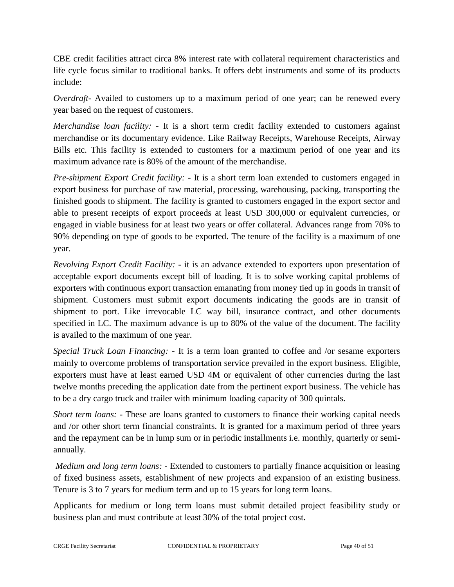CBE credit facilities attract circa 8% interest rate with collateral requirement characteristics and life cycle focus similar to traditional banks. It offers debt instruments and some of its products include:

*Overdraft*- Availed to customers up to a maximum period of one year; can be renewed every year based on the request of customers.

*Merchandise loan facility: -* It is a short term credit facility extended to customers against merchandise or its documentary evidence. Like Railway Receipts, Warehouse Receipts, Airway Bills etc. This facility is extended to customers for a maximum period of one year and its maximum advance rate is 80% of the amount of the merchandise.

*Pre-shipment Export Credit facility: -* It is a short term loan extended to customers engaged in export business for purchase of raw material, processing, warehousing, packing, transporting the finished goods to shipment. The facility is granted to customers engaged in the export sector and able to present receipts of export proceeds at least USD 300,000 or equivalent currencies, or engaged in viable business for at least two years or offer collateral. Advances range from 70% to 90% depending on type of goods to be exported. The tenure of the facility is a maximum of one year.

*Revolving Export Credit Facility: -* it is an advance extended to exporters upon presentation of acceptable export documents except bill of loading. It is to solve working capital problems of exporters with continuous export transaction emanating from money tied up in goods in transit of shipment. Customers must submit export documents indicating the goods are in transit of shipment to port. Like irrevocable LC way bill, insurance contract, and other documents specified in LC. The maximum advance is up to 80% of the value of the document. The facility is availed to the maximum of one year.

*Special Truck Loan Financing: -* It is a term loan granted to coffee and /or sesame exporters mainly to overcome problems of transportation service prevailed in the export business. Eligible, exporters must have at least earned USD 4M or equivalent of other currencies during the last twelve months preceding the application date from the pertinent export business. The vehicle has to be a dry cargo truck and trailer with minimum loading capacity of 300 quintals.

*Short term loans:* - These are loans granted to customers to finance their working capital needs and /or other short term financial constraints. It is granted for a maximum period of three years and the repayment can be in lump sum or in periodic installments i.e. monthly, quarterly or semi annually.

*Medium and long term loans: -* Extended to customers to partially finance acquisition or leasing of fixed business assets, establishment of new projects and expansion of an existing business. Tenure is 3 to 7 years for medium term and up to 15 years for long term loans.

Applicants for medium or long term loans must submit detailed project feasibility study or business plan and must contribute at least 30% of the total project cost.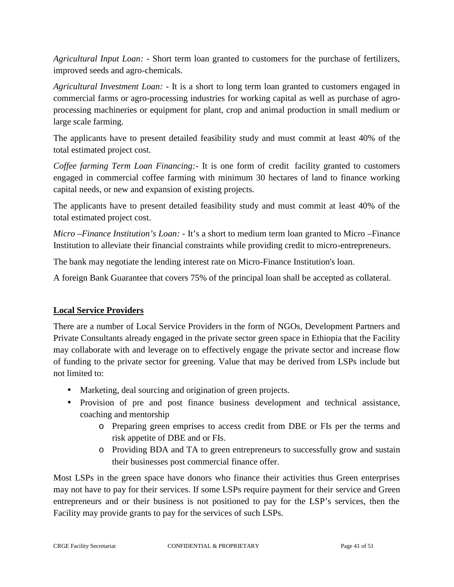*Agricultural Input Loan: -* Short term loan granted to customers for the purchase of fertilizers, improved seeds and agro-chemicals.

*Agricultural Investment Loan: -* It is a short to long term loan granted to customers engaged in commercial farms or agro-processing industries for working capital as well as purchase of agro processing machineries or equipment for plant, crop and animal production in small medium or large scale farming.

The applicants have to present detailed feasibility study and must commit at least 40% of the total estimated project cost.

*Coffee farming Term Loan Financing:-* It is one form of credit facility granted to customers engaged in commercial coffee farming with minimum 30 hectares of land to finance working capital needs, or new and expansion of existing projects.

The applicants have to present detailed feasibility study and must commit at least 40% of the total estimated project cost.

*Micro –Finance Institution's Loan: -* It's a short to medium term loan granted to Micro –Finance Institution to alleviate their financial constraints while providing credit to micro-entrepreneurs.

The bank may negotiate the lending interest rate on Micro-Finance Institution's loan.

A foreign Bank Guarantee that covers 75% of the principal loan shall be accepted as collateral.

# **Local Service Providers**

There are a number of Local Service Providers in the form of NGOs, Development Partners and Private Consultants already engaged in the private sector green space in Ethiopia that the Facility may collaborate with and leverage on to effectively engage the private sector and increase flow of funding to the private sector for greening. Value that may be derived from LSPs include but not limited to:

- Marketing, deal sourcing and origination of green projects.
- Provision of pre and post finance business development and technical assistance, coaching and mentorship
	- o Preparing green emprises to access credit from DBE or FIs per the terms and risk appetite of DBE and or FIs.
	- o Providing BDA and TA to green entrepreneurs to successfully grow and sustain their businesses post commercial finance offer.

Most LSPs in the green space have donors who finance their activities thus Green enterprises may not have to pay for their services. If some LSPs require payment for their service and Green entrepreneurs and or their business is not positioned to pay for the LSP's services, then the Facility may provide grants to pay for the services of such LSPs.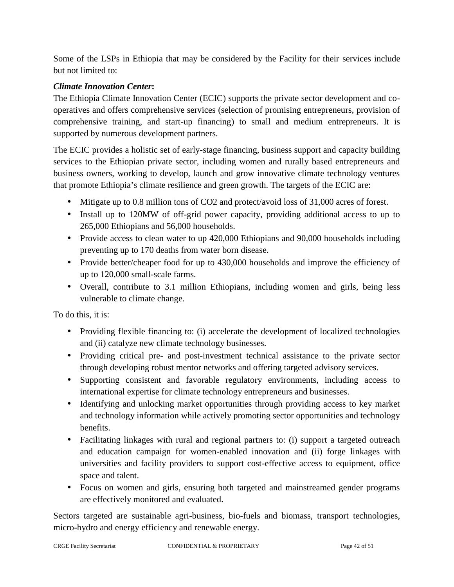Some of the LSPs in Ethiopia that may be considered by the Facility for their services include but not limited to:

# *Climate Innovation Center***:**

The Ethiopia Climate Innovation Center (ECIC) supports the private sector development and co operatives and offers comprehensive services (selection of promising entrepreneurs, provision of comprehensive training, and start-up financing) to small and medium entrepreneurs. It is supported by numerous development partners.

The ECIC provides a holistic set of early-stage financing, business support and capacity building services to the Ethiopian private sector, including women and rurally based entrepreneurs and business owners, working to develop, launch and grow innovative climate technology ventures that promote Ethiopia's climate resilience and green growth. The targets of the ECIC are:

- Mitigate up to 0.8 million tons of CO2 and protect/avoid loss of 31,000 acres of forest.
- Install up to 120MW of off-grid power capacity, providing additional access to up to 265,000 Ethiopians and 56,000 households.
- Provide access to clean water to up 420,000 Ethiopians and 90,000 households including preventing up to 170 deaths from water born disease.
- Provide better/cheaper food for up to 430,000 households and improve the efficiency of up to 120,000 small-scale farms.
- Overall, contribute to 3.1 million Ethiopians, including women and girls, being less vulnerable to climate change.

To do this, it is:

- Providing flexible financing to: (i) accelerate the development of localized technologies and (ii) catalyze new climate technology businesses.
- Providing critical pre- and post-investment technical assistance to the private sector through developing robust mentor networks and offering targeted advisory services.
- Supporting consistent and favorable regulatory environments, including access to international expertise for climate technology entrepreneurs and businesses.
- Identifying and unlocking market opportunities through providing access to key market and technology information while actively promoting sector opportunities and technology benefits.
- Facilitating linkages with rural and regional partners to: (i) support a targeted outreach and education campaign for women-enabled innovation and (ii) forge linkages with universities and facility providers to support cost-effective access to equipment, office space and talent.
- Focus on women and girls, ensuring both targeted and mainstreamed gender programs are effectively monitored and evaluated.

Sectors targeted are sustainable agri-business, bio-fuels and biomass, transport technologies, micro-hydro and energy efficiency and renewable energy.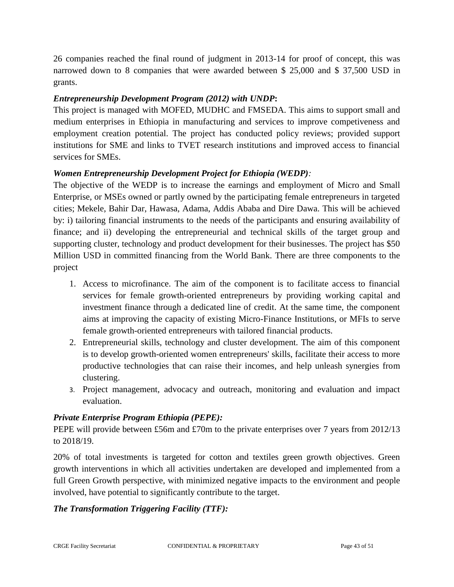26 companies reached the final round of judgment in 2013-14 for proof of concept, this was narrowed down to 8 companies that were awarded between \$ 25,000 and \$ 37,500 USD in grants.

# *Entrepreneurship Development Program (2012) with UNDP***:**

This project is managed with MOFED, MUDHC and FMSEDA. This aims to support small and medium enterprises in Ethiopia in manufacturing and services to improve competiveness and employment creation potential. The project has conducted policy reviews; provided support institutions for SME and links to TVET research institutions and improved access to financial services for SMEs.

# *Women Entrepreneurship Development Project for Ethiopia (WEDP):*

The objective of the WEDP is to increase the earnings and employment of Micro and Small Enterprise, or MSEs owned or partly owned by the participating female entrepreneurs in targeted cities; Mekele, Bahir Dar, Hawasa, Adama, Addis Ababa and Dire Dawa. This will be achieved by: i) tailoring financial instruments to the needs of the participants and ensuring availability of finance; and ii) developing the entrepreneurial and technical skills of the target group and supporting cluster, technology and product development for their businesses. The project has \$50 Million USD in committed financing from the World Bank. There are three components to the project

- 1. Access to microfinance. The aim of the component is to facilitate access to financial services for female growth-oriented entrepreneurs by providing working capital and investment finance through a dedicated line of credit. At the same time, the component aims at improving the capacity of existing Micro-Finance Institutions, or MFIs to serve female growth-oriented entrepreneurs with tailored financial products.
- 2. Entrepreneurial skills, technology and cluster development. The aim of this component is to develop growth-oriented women entrepreneurs' skills, facilitate their access to more productive technologies that can raise their incomes, and help unleash synergies from clustering.
- 3. Project management, advocacy and outreach, monitoring and evaluation and impact evaluation.

# *Private Enterprise Program Ethiopia (PEPE):*

PEPE will provide between £56m and £70m to the private enterprises over 7 years from 2012/13 to 2018/19.

20% of total investments is targeted for cotton and textiles green growth objectives. Green growth interventions in which all activities undertaken are developed and implemented from a full Green Growth perspective, with minimized negative impacts to the environment and people involved, have potential to significantly contribute to the target.

# *The Transformation Triggering Facility (TTF):*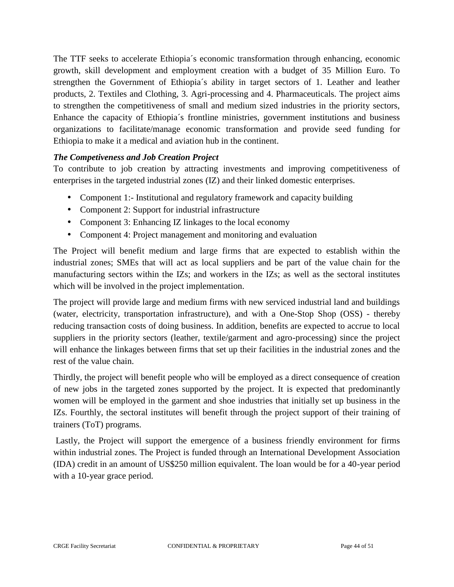The TTF seeks to accelerate Ethiopia´s economic transformation through enhancing, economic growth, skill development and employment creation with a budget of 35 Million Euro. To strengthen the Government of Ethiopia´s ability in target sectors of 1. Leather and leather products, 2. Textiles and Clothing, 3. Agri-processing and 4. Pharmaceuticals. The project aims to strengthen the competitiveness of small and medium sized industries in the priority sectors, Enhance the capacity of Ethiopia´s frontline ministries, government institutions and business organizations to facilitate/manage economic transformation and provide seed funding for Ethiopia to make it a medical and aviation hub in the continent.

# *The Competiveness and Job Creation Project*

To contribute to job creation by attracting investments and improving competitiveness of enterprises in the targeted industrial zones (IZ) and their linked domestic enterprises.

- Component 1:- Institutional and regulatory framework and capacity building
- Component 2: Support for industrial infrastructure
- Component 3: Enhancing IZ linkages to the local economy
- Component 4: Project management and monitoring and evaluation

The Project will benefit medium and large firms that are expected to establish within the industrial zones; SMEs that will act as local suppliers and be part of the value chain for the manufacturing sectors within the IZs; and workers in the IZs; as well as the sectoral institutes which will be involved in the project implementation.

The project will provide large and medium firms with new serviced industrial land and buildings (water, electricity, transportation infrastructure), and with a One-Stop Shop (OSS) - thereby reducing transaction costs of doing business. In addition, benefits are expected to accrue to local suppliers in the priority sectors (leather, textile/garment and agro-processing) since the project will enhance the linkages between firms that set up their facilities in the industrial zones and the rest of the value chain.

Thirdly, the project will benefit people who will be employed as a direct consequence of creation of new jobs in the targeted zones supported by the project. It is expected that predominantly women will be employed in the garment and shoe industries that initially set up business in the IZs. Fourthly, the sectoral institutes will benefit through the project support of their training of trainers (ToT) programs.

Lastly, the Project will support the emergence of a business friendly environment for firms within industrial zones. The Project is funded through an International Development Association (IDA) credit in an amount of US\$250 million equivalent. The loan would be for a 40-year period with a 10-year grace period.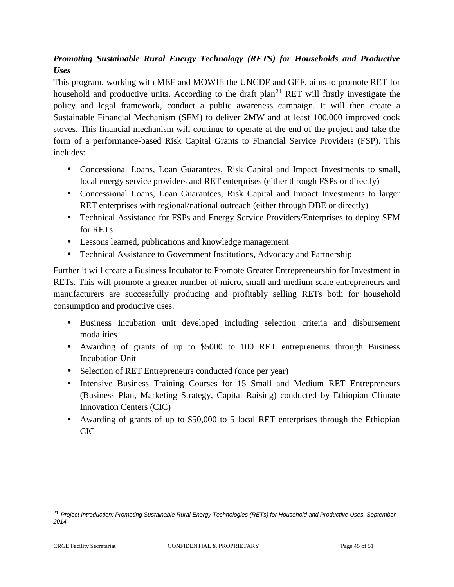# *Promoting Sustainable Rural Energy Technology (RETS) for Households and Productive Uses*

This program, working with MEF and MOWIE the UNCDF and GEF, aims to promote RET for household and productive units. According to the draft plan<sup>21</sup> RET will firstly investigate the policy and legal framework, conduct a public awareness campaign. It will then create a Sustainable Financial Mechanism (SFM) to deliver 2MW and at least 100,000 improved cook stoves. This financial mechanism will continue to operate at the end of the project and take the form of a performance-based Risk Capital Grants to Financial Service Providers (FSP). This includes:

- Concessional Loans, Loan Guarantees, Risk Capital and Impact Investments to small, local energy service providers and RET enterprises (either through FSPs or directly)
- Concessional Loans, Loan Guarantees, Risk Capital and Impact Investments to larger RET enterprises with regional/national outreach (either through DBE or directly)
- Technical Assistance for FSPs and Energy Service Providers/Enterprises to deploy SFM for RETs
- Lessons learned, publications and knowledge management
- Technical Assistance to Government Institutions, Advocacy and Partnership

Further it will create a Business Incubator to Promote Greater Entrepreneurship for Investment in RETs. This will promote a greater number of micro, small and medium scale entrepreneurs and manufacturers are successfully producing and profitably selling RETs both for household consumption and productive uses.

- Business Incubation unit developed including selection criteria and disbursement modalities
- Awarding of grants of up to \$5000 to 100 RET entrepreneurs through Business Incubation Unit
- Selection of RET Entrepreneurs conducted (once per year)
- Intensive Business Training Courses for 15 Small and Medium RET Entrepreneurs (Business Plan, Marketing Strategy, Capital Raising) conducted by Ethiopian Climate Innovation Centers (CIC)
- Awarding of grants of up to \$50,000 to 5 local RET enterprises through the Ethiopian CIC

<sup>21</sup> *Project Introduction: Promoting Sustainable Rural Energy Technologies (RETs) for Household and Productive Uses. September 2014*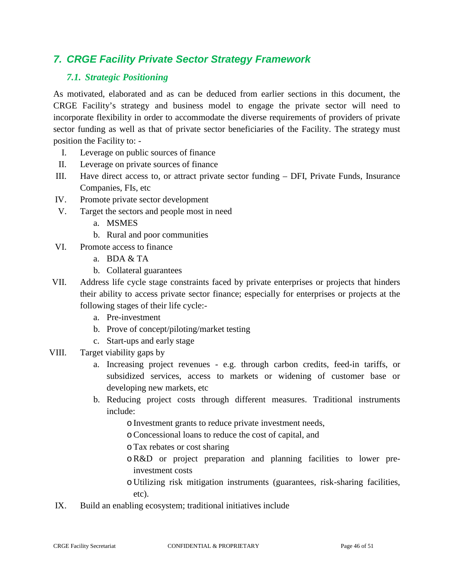# *7. CRGE Facility Private Sector Strategy Framework*

# *7.1. Strategic Positioning*

As motivated, elaborated and as can be deduced from earlier sections in this document, the CRGE Facility's strategy and business model to engage the private sector will need to incorporate flexibility in order to accommodate the diverse requirements of providers of private sector funding as well as that of private sector beneficiaries of the Facility. The strategy must position the Facility to: -

- I. Leverage on public sources of finance
- II. Leverage on private sources of finance
- III. Have direct access to, or attract private sector funding DFI, Private Funds, Insurance Companies, FIs, etc
- IV. Promote private sector development
- V. Target the sectors and people most in need
	- a. MSMES
	- b. Rural and poor communities
- VI. Promote access to finance
	- a. BDA  $&TA$
	- b. Collateral guarantees
- VII. Address life cycle stage constraints faced by private enterprises or projects that hinders their ability to access private sector finance; especially for enterprises or projects at the following stages of their life cycle:
	- a. Pre-investment
	- b. Prove of concept/piloting/market testing
	- c. Start-ups and early stage
- VIII. Target viability gaps by
	- a. Increasing project revenues e.g. through carbon credits, feed-in tariffs, or subsidized services, access to markets or widening of customer base or developing new markets, etc
	- b. Reducing project costs through different measures. Traditional instruments include:
		- o Investment grants to reduce private investment needs,
		- oConcessional loans to reduce the cost of capital, and
		- oTax rebates or cost sharing
		- oR&D or project preparation and planning facilities to lower preinvestment costs
		- o Utilizing risk mitigation instruments (guarantees, risk-sharing facilities, etc).
	- IX. Build an enabling ecosystem; traditional initiatives include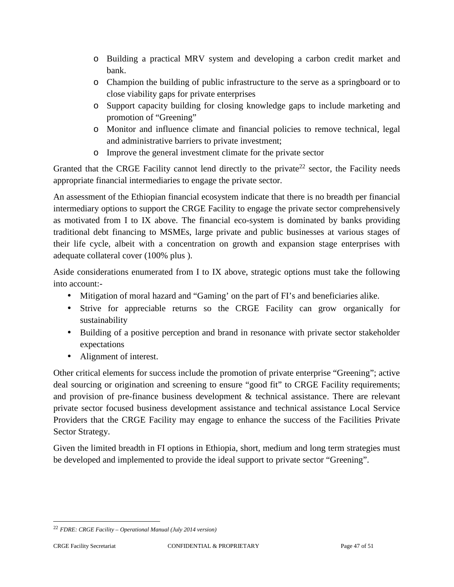- o Building a practical MRV system and developing a carbon credit market and bank.
- o Champion the building of public infrastructure to the serve as a springboard or to close viability gaps for private enterprises
- o Support capacity building for closing knowledge gaps to include marketing and promotion of "Greening"
- o Monitor and influence climate and financial policies to remove technical, legal and administrative barriers to private investment;
- o Improve the general investment climate for the private sector

Granted that the CRGE Facility cannot lend directly to the private<sup>22</sup> sector, the Facility needs appropriate financial intermediaries to engage the private sector.

An assessment of the Ethiopian financial ecosystem indicate that there is no breadth per financial intermediary options to support the CRGE Facility to engage the private sector comprehensively as motivated from I to IX above. The financial eco-system is dominated by banks providing traditional debt financing to MSMEs, large private and public businesses at various stages of their life cycle, albeit with a concentration on growth and expansion stage enterprises with adequate collateral cover (100% plus ).

Aside considerations enumerated from I to IX above, strategic options must take the following into account:-

- Mitigation of moral hazard and "Gaming' on the part of FI's and beneficiaries alike.
- Strive for appreciable returns so the CRGE Facility can grow organically for sustainability
- Building of a positive perception and brand in resonance with private sector stakeholder expectations
- Alignment of interest.

Other critical elements for success include the promotion of private enterprise "Greening"; active deal sourcing or origination and screening to ensure "good fit" to CRGE Facility requirements; and provision of pre-finance business development & technical assistance. There are relevant private sector focused business development assistance and technical assistance Local Service Providers that the CRGE Facility may engage to enhance the success of the Facilities Private Sector Strategy.

Given the limited breadth in FI options in Ethiopia, short, medium and long term strategies must be developed and implemented to provide the ideal support to private sector "Greening".

<sup>22</sup> *FDRE: CRGE Facility – Operational Manual (July 2014 version)*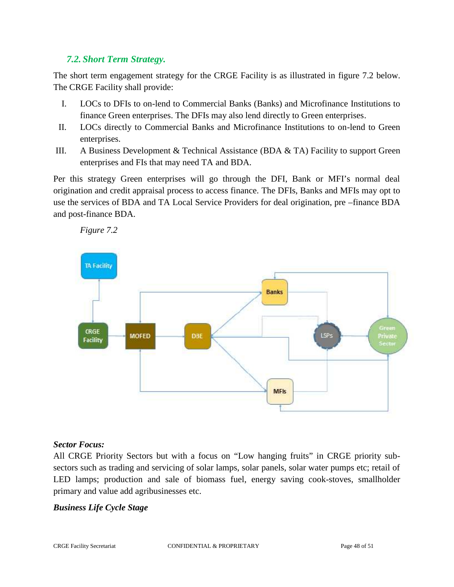# *7.2. Short Term Strategy.*

*Figure 7.2*

The short term engagement strategy for the CRGE Facility is as illustrated in figure 7.2 below. The CRGE Facility shall provide:

- I. LOCs to DFIs to on-lend to Commercial Banks (Banks) and Microfinance Institutions to finance Green enterprises. The DFIs may also lend directly to Green enterprises.
- II. LOCs directly to Commercial Banks and Microfinance Institutions to on-lend to Green enterprises.
- III. A Business Development & Technical Assistance (BDA  $\&$  TA) Facility to support Green enterprises and FIs that may need TA and BDA.

Per this strategy Green enterprises will go through the DFI, Bank or MFI's normal deal origination and credit appraisal process to access finance. The DFIs, Banks and MFIs may opt to use the services of BDA and TA Local Service Providers for deal origination, pre –finance BDA and post-finance BDA.



#### *Sector Focus:*

All CRGE Priority Sectors but with a focus on "Low hanging fruits" in CRGE priority sub sectors such as trading and servicing of solar lamps, solar panels, solar water pumps etc; retail of LED lamps; production and sale of biomass fuel, energy saving cook-stoves, smallholder primary and value add agribusinesses etc.

# *Business Life Cycle Stage*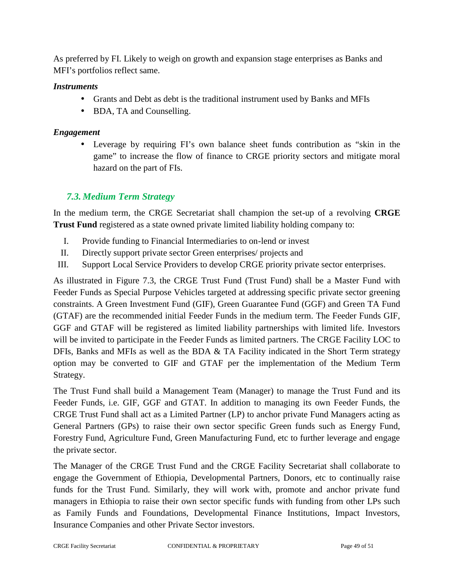As preferred by FI. Likely to weigh on growth and expansion stage enterprises as Banks and MFI's portfolios reflect same.

#### *Instruments*

- Grants and Debt as debt is the traditional instrument used by Banks and MFIs
- BDA, TA and Counselling.

#### *Engagement*

 Leverage by requiring FI's own balance sheet funds contribution as "skin in the game" to increase the flow of finance to CRGE priority sectors and mitigate moral hazard on the part of FIs.

# *7.3. Medium Term Strategy*

In the medium term, the CRGE Secretariat shall champion the set-up of a revolving **CRGE Trust Fund** registered as a state owned private limited liability holding company to:

- I. Provide funding to Financial Intermediaries to on-lend or invest
- II. Directly support private sector Green enterprises/ projects and
- III. Support Local Service Providers to develop CRGE priority private sector enterprises.

As illustrated in Figure 7.3, the CRGE Trust Fund (Trust Fund) shall be a Master Fund with Feeder Funds as Special Purpose Vehicles targeted at addressing specific private sector greening constraints. A Green Investment Fund (GIF), Green Guarantee Fund (GGF) and Green TA Fund (GTAF) are the recommended initial Feeder Funds in the medium term. The Feeder Funds GIF, GGF and GTAF will be registered as limited liability partnerships with limited life. Investors will be invited to participate in the Feeder Funds as limited partners. The CRGE Facility LOC to DFIs, Banks and MFIs as well as the BDA & TA Facility indicated in the Short Term strategy option may be converted to GIF and GTAF per the implementation of the Medium Term Strategy.

The Trust Fund shall build a Management Team (Manager) to manage the Trust Fund and its Feeder Funds, i.e. GIF, GGF and GTAT. In addition to managing its own Feeder Funds, the CRGE Trust Fund shall act as a Limited Partner (LP) to anchor private Fund Managers acting as General Partners (GPs) to raise their own sector specific Green funds such as Energy Fund, Forestry Fund, Agriculture Fund, Green Manufacturing Fund, etc to further leverage and engage the private sector.

The Manager of the CRGE Trust Fund and the CRGE Facility Secretariat shall collaborate to engage the Government of Ethiopia, Developmental Partners, Donors, etc to continually raise funds for the Trust Fund. Similarly, they will work with, promote and anchor private fund managers in Ethiopia to raise their own sector specific funds with funding from other LPs such as Family Funds and Foundations, Developmental Finance Institutions, Impact Investors, Insurance Companies and other Private Sector investors.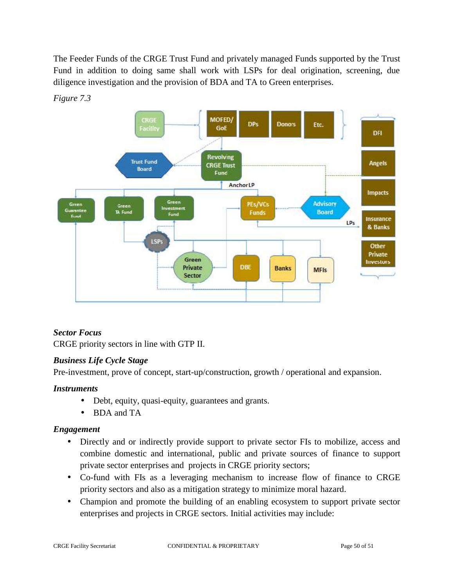The Feeder Funds of the CRGE Trust Fund and privately managed Funds supported by the Trust Fund in addition to doing same shall work with LSPs for deal origination, screening, due diligence investigation and the provision of BDA and TA to Green enterprises.



*Figure 7.3*

# *Sector Focus*

CRGE priority sectors in line with GTP II.

# *Business Life Cycle Stage*

Pre-investment, prove of concept, start-up/construction, growth / operational and expansion.

# *Instruments*

- Debt, equity, quasi-equity, guarantees and grants.
- BDA and TA

# *Engagement*

- Directly and or indirectly provide support to private sector FIs to mobilize, access and combine domestic and international, public and private sources of finance to support private sector enterprises and projects in CRGE priority sectors;
- Co-fund with FIs as a leveraging mechanism to increase flow of finance to CRGE priority sectors and also as a mitigation strategy to minimize moral hazard.
- Champion and promote the building of an enabling ecosystem to support private sector enterprises and projects in CRGE sectors. Initial activities may include: